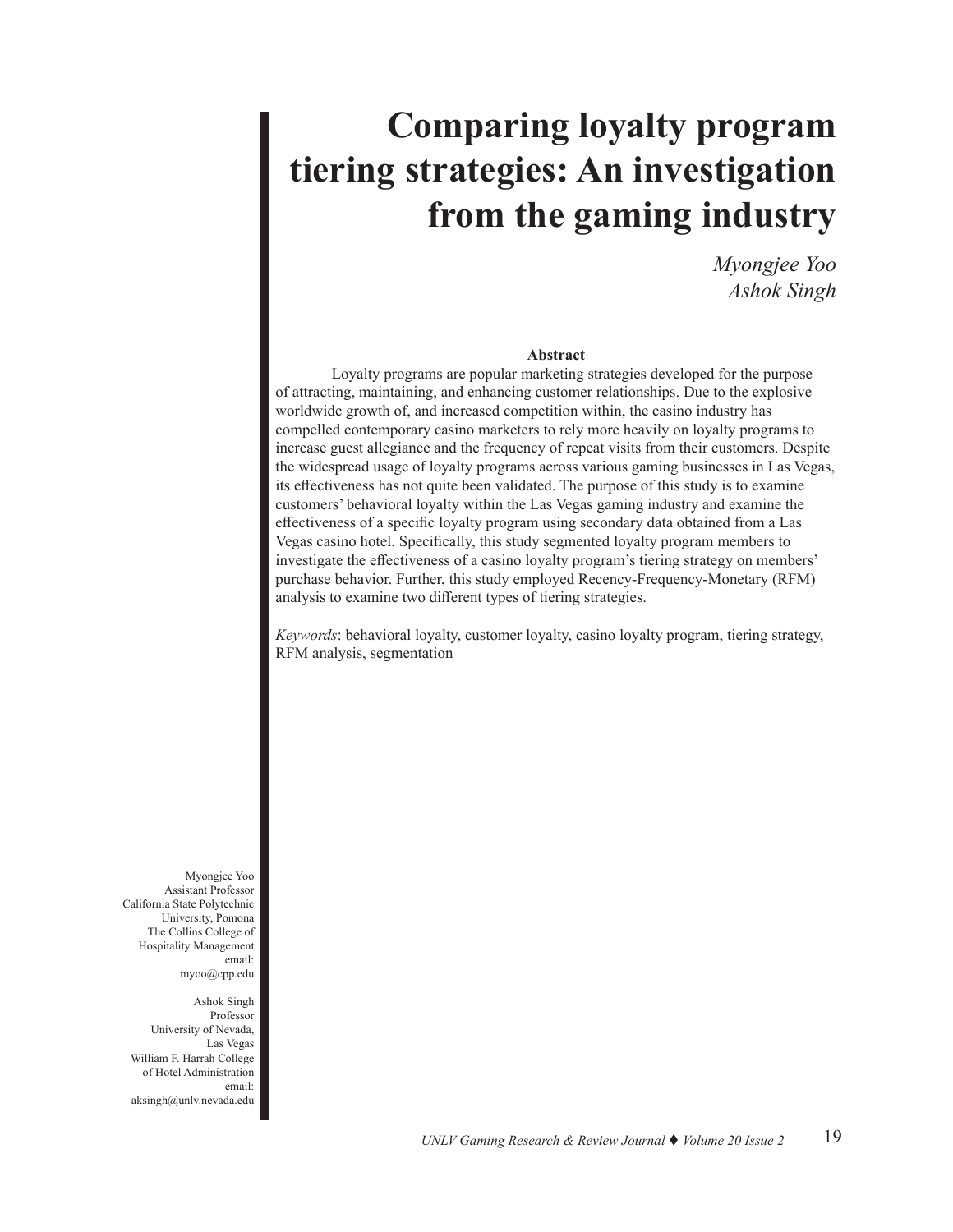# **Comparing loyalty program tiering strategies: An investigation from the gaming industry**

*Myongjee Yoo Ashok Singh*

#### **Abstract**

Loyalty programs are popular marketing strategies developed for the purpose of attracting, maintaining, and enhancing customer relationships. Due to the explosive worldwide growth of, and increased competition within, the casino industry has compelled contemporary casino marketers to rely more heavily on loyalty programs to increase guest allegiance and the frequency of repeat visits from their customers. Despite the widespread usage of loyalty programs across various gaming businesses in Las Vegas, its effectiveness has not quite been validated. The purpose of this study is to examine customers' behavioral loyalty within the Las Vegas gaming industry and examine the effectiveness of a specific loyalty program using secondary data obtained from a Las Vegas casino hotel. Specifically, this study segmented loyalty program members to investigate the effectiveness of a casino loyalty program's tiering strategy on members' purchase behavior. Further, this study employed Recency-Frequency-Monetary (RFM) analysis to examine two different types of tiering strategies.

*Keywords*: behavioral loyalty, customer loyalty, casino loyalty program, tiering strategy, RFM analysis, segmentation

Myongjee Yoo Assistant Professor California State Polytechnic University, Pomona The Collins College of Hospitality Management email: myoo@cpp.edu

Ashok Singh Professor University of Nevada, Las Vegas William F. Harrah College of Hotel Administration email: aksingh@unlv.nevada.edu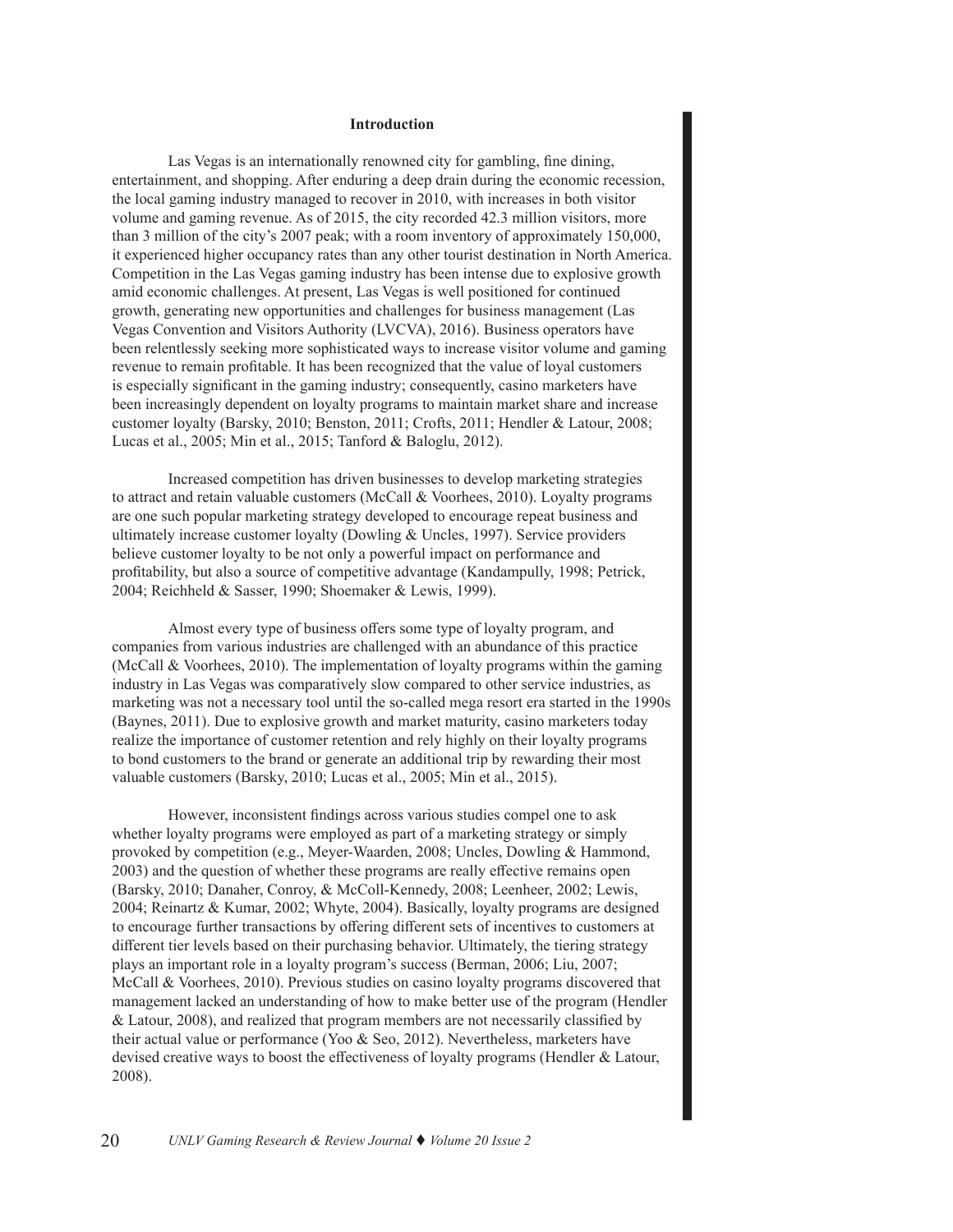#### **Introduction**

Las Vegas is an internationally renowned city for gambling, fine dining, entertainment, and shopping. After enduring a deep drain during the economic recession, the local gaming industry managed to recover in 2010, with increases in both visitor volume and gaming revenue. As of 2015, the city recorded 42.3 million visitors, more than 3 million of the city's 2007 peak; with a room inventory of approximately 150,000, it experienced higher occupancy rates than any other tourist destination in North America. Competition in the Las Vegas gaming industry has been intense due to explosive growth amid economic challenges. At present, Las Vegas is well positioned for continued growth, generating new opportunities and challenges for business management (Las Vegas Convention and Visitors Authority (LVCVA), 2016). Business operators have been relentlessly seeking more sophisticated ways to increase visitor volume and gaming revenue to remain profitable. It has been recognized that the value of loyal customers is especially significant in the gaming industry; consequently, casino marketers have been increasingly dependent on loyalty programs to maintain market share and increase customer loyalty (Barsky, 2010; Benston, 2011; Crofts, 2011; Hendler & Latour, 2008; Lucas et al., 2005; Min et al., 2015; Tanford & Baloglu, 2012).

Increased competition has driven businesses to develop marketing strategies to attract and retain valuable customers (McCall & Voorhees, 2010). Loyalty programs are one such popular marketing strategy developed to encourage repeat business and ultimately increase customer loyalty (Dowling & Uncles, 1997). Service providers believe customer loyalty to be not only a powerful impact on performance and profitability, but also a source of competitive advantage (Kandampully, 1998; Petrick, 2004; Reichheld & Sasser, 1990; Shoemaker & Lewis, 1999).

Almost every type of business offers some type of loyalty program, and companies from various industries are challenged with an abundance of this practice (McCall & Voorhees, 2010). The implementation of loyalty programs within the gaming industry in Las Vegas was comparatively slow compared to other service industries, as marketing was not a necessary tool until the so-called mega resort era started in the 1990s (Baynes, 2011). Due to explosive growth and market maturity, casino marketers today realize the importance of customer retention and rely highly on their loyalty programs to bond customers to the brand or generate an additional trip by rewarding their most valuable customers (Barsky, 2010; Lucas et al., 2005; Min et al., 2015).

However, inconsistent findings across various studies compel one to ask whether loyalty programs were employed as part of a marketing strategy or simply provoked by competition (e.g., Meyer-Waarden, 2008; Uncles, Dowling & Hammond, 2003) and the question of whether these programs are really effective remains open (Barsky, 2010; Danaher, Conroy, & McColl-Kennedy, 2008; Leenheer, 2002; Lewis, 2004; Reinartz & Kumar, 2002; Whyte, 2004). Basically, loyalty programs are designed to encourage further transactions by offering different sets of incentives to customers at different tier levels based on their purchasing behavior. Ultimately, the tiering strategy plays an important role in a loyalty program's success (Berman, 2006; Liu, 2007; McCall & Voorhees, 2010). Previous studies on casino loyalty programs discovered that management lacked an understanding of how to make better use of the program (Hendler & Latour, 2008), and realized that program members are not necessarily classified by their actual value or performance (Yoo & Seo, 2012). Nevertheless, marketers have devised creative ways to boost the effectiveness of loyalty programs (Hendler & Latour, 2008).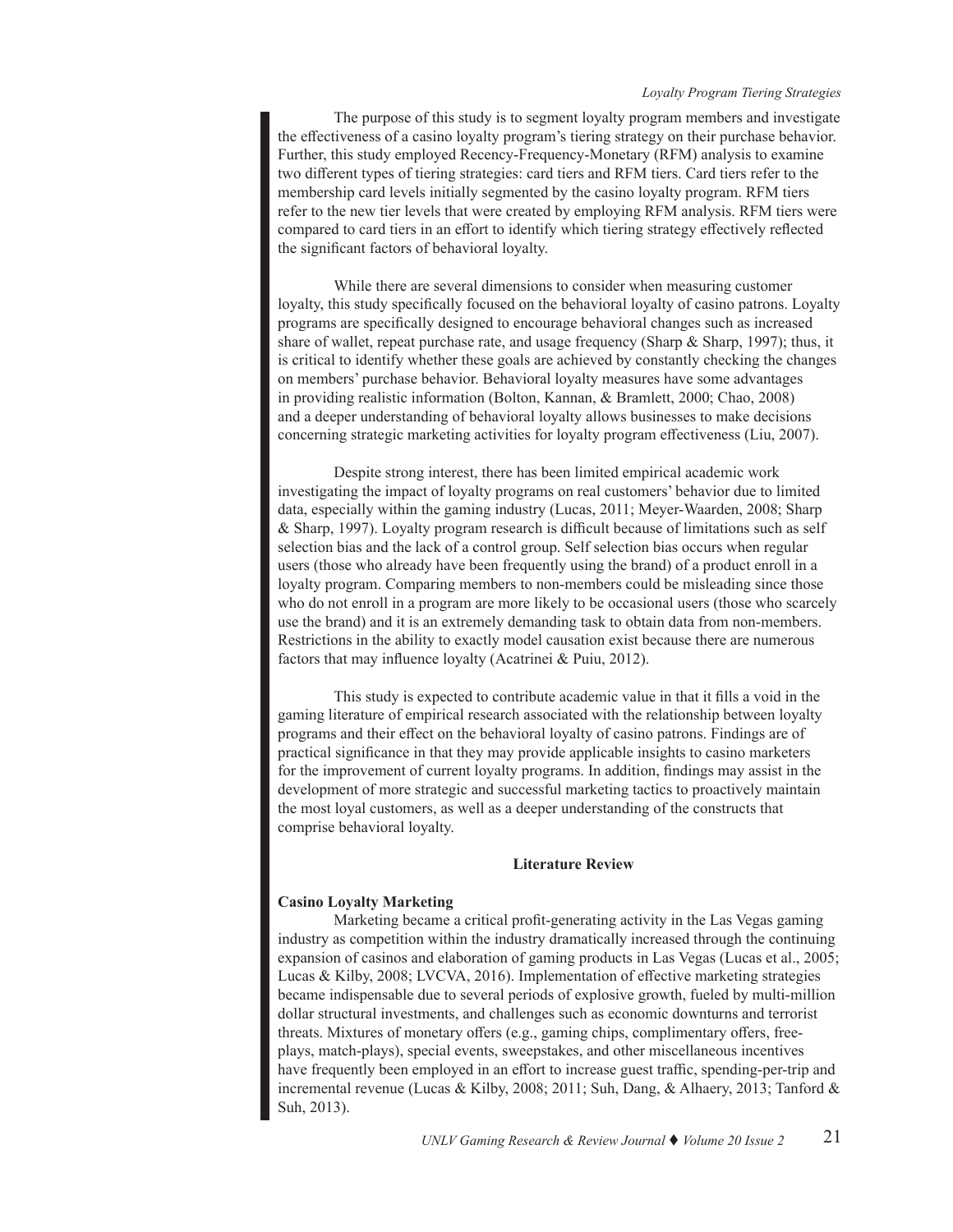#### *Loyalty Program Tiering Strategies*

The purpose of this study is to segment loyalty program members and investigate the effectiveness of a casino loyalty program's tiering strategy on their purchase behavior. Further, this study employed Recency-Frequency-Monetary (RFM) analysis to examine two different types of tiering strategies: card tiers and RFM tiers. Card tiers refer to the membership card levels initially segmented by the casino loyalty program. RFM tiers refer to the new tier levels that were created by employing RFM analysis. RFM tiers were compared to card tiers in an effort to identify which tiering strategy effectively reflected the significant factors of behavioral loyalty.

While there are several dimensions to consider when measuring customer loyalty, this study specifically focused on the behavioral loyalty of casino patrons. Loyalty programs are specifically designed to encourage behavioral changes such as increased share of wallet, repeat purchase rate, and usage frequency (Sharp & Sharp, 1997); thus, it is critical to identify whether these goals are achieved by constantly checking the changes on members' purchase behavior. Behavioral loyalty measures have some advantages in providing realistic information (Bolton, Kannan, & Bramlett, 2000; Chao, 2008) and a deeper understanding of behavioral loyalty allows businesses to make decisions concerning strategic marketing activities for loyalty program effectiveness (Liu, 2007).

Despite strong interest, there has been limited empirical academic work investigating the impact of loyalty programs on real customers' behavior due to limited data, especially within the gaming industry (Lucas, 2011; Meyer-Waarden, 2008; Sharp & Sharp, 1997). Loyalty program research is difficult because of limitations such as self selection bias and the lack of a control group. Self selection bias occurs when regular users (those who already have been frequently using the brand) of a product enroll in a loyalty program. Comparing members to non-members could be misleading since those who do not enroll in a program are more likely to be occasional users (those who scarcely use the brand) and it is an extremely demanding task to obtain data from non-members. Restrictions in the ability to exactly model causation exist because there are numerous factors that may influence loyalty (Acatrinei & Puiu, 2012).

This study is expected to contribute academic value in that it fills a void in the gaming literature of empirical research associated with the relationship between loyalty programs and their effect on the behavioral loyalty of casino patrons. Findings are of practical significance in that they may provide applicable insights to casino marketers for the improvement of current loyalty programs. In addition, findings may assist in the development of more strategic and successful marketing tactics to proactively maintain the most loyal customers, as well as a deeper understanding of the constructs that comprise behavioral loyalty.

#### **Literature Review**

#### **Casino Loyalty Marketing**

Marketing became a critical profit-generating activity in the Las Vegas gaming industry as competition within the industry dramatically increased through the continuing expansion of casinos and elaboration of gaming products in Las Vegas (Lucas et al., 2005; Lucas & Kilby, 2008; LVCVA, 2016). Implementation of effective marketing strategies became indispensable due to several periods of explosive growth, fueled by multi-million dollar structural investments, and challenges such as economic downturns and terrorist threats. Mixtures of monetary offers (e.g., gaming chips, complimentary offers, freeplays, match-plays), special events, sweepstakes, and other miscellaneous incentives have frequently been employed in an effort to increase guest traffic, spending-per-trip and incremental revenue (Lucas & Kilby, 2008; 2011; Suh, Dang, & Alhaery, 2013; Tanford & Suh, 2013).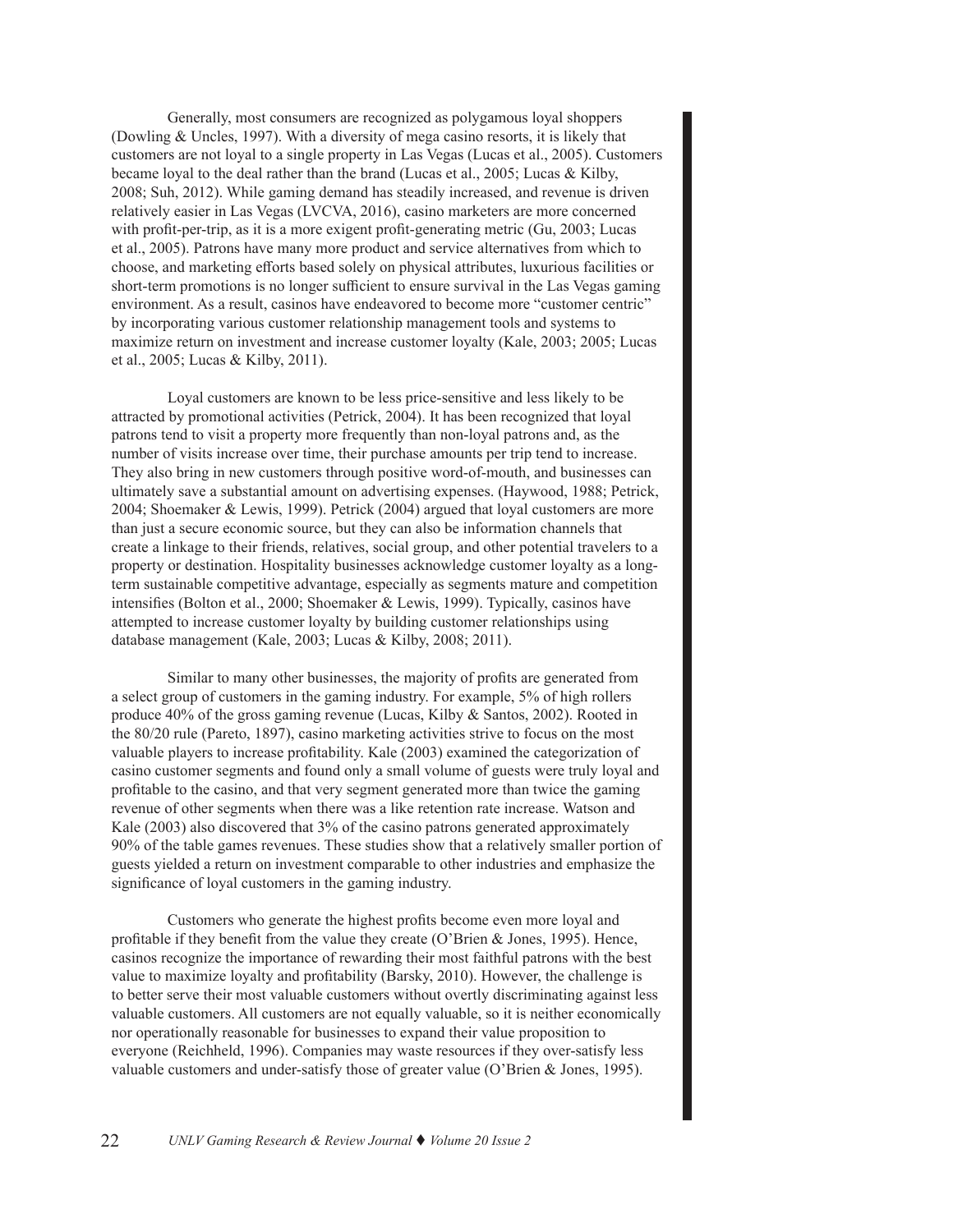Generally, most consumers are recognized as polygamous loyal shoppers (Dowling & Uncles, 1997). With a diversity of mega casino resorts, it is likely that customers are not loyal to a single property in Las Vegas (Lucas et al., 2005). Customers became loyal to the deal rather than the brand (Lucas et al., 2005; Lucas & Kilby, 2008; Suh, 2012). While gaming demand has steadily increased, and revenue is driven relatively easier in Las Vegas (LVCVA, 2016), casino marketers are more concerned with profit-per-trip, as it is a more exigent profit-generating metric (Gu, 2003; Lucas et al., 2005). Patrons have many more product and service alternatives from which to choose, and marketing efforts based solely on physical attributes, luxurious facilities or short-term promotions is no longer sufficient to ensure survival in the Las Vegas gaming environment. As a result, casinos have endeavored to become more "customer centric" by incorporating various customer relationship management tools and systems to maximize return on investment and increase customer loyalty (Kale, 2003; 2005; Lucas et al., 2005; Lucas & Kilby, 2011).

Loyal customers are known to be less price-sensitive and less likely to be attracted by promotional activities (Petrick, 2004). It has been recognized that loyal patrons tend to visit a property more frequently than non-loyal patrons and, as the number of visits increase over time, their purchase amounts per trip tend to increase. They also bring in new customers through positive word-of-mouth, and businesses can ultimately save a substantial amount on advertising expenses. (Haywood, 1988; Petrick, 2004; Shoemaker & Lewis, 1999). Petrick (2004) argued that loyal customers are more than just a secure economic source, but they can also be information channels that create a linkage to their friends, relatives, social group, and other potential travelers to a property or destination. Hospitality businesses acknowledge customer loyalty as a longterm sustainable competitive advantage, especially as segments mature and competition intensifies (Bolton et al., 2000; Shoemaker & Lewis, 1999). Typically, casinos have attempted to increase customer loyalty by building customer relationships using database management (Kale, 2003; Lucas & Kilby, 2008; 2011).

Similar to many other businesses, the majority of profits are generated from a select group of customers in the gaming industry. For example, 5% of high rollers produce 40% of the gross gaming revenue (Lucas, Kilby & Santos, 2002). Rooted in the 80/20 rule (Pareto, 1897), casino marketing activities strive to focus on the most valuable players to increase profitability. Kale (2003) examined the categorization of casino customer segments and found only a small volume of guests were truly loyal and profitable to the casino, and that very segment generated more than twice the gaming revenue of other segments when there was a like retention rate increase. Watson and Kale (2003) also discovered that 3% of the casino patrons generated approximately 90% of the table games revenues. These studies show that a relatively smaller portion of guests yielded a return on investment comparable to other industries and emphasize the significance of loyal customers in the gaming industry.

Customers who generate the highest profits become even more loyal and profitable if they benefit from the value they create (O'Brien & Jones, 1995). Hence, casinos recognize the importance of rewarding their most faithful patrons with the best value to maximize loyalty and profitability (Barsky, 2010). However, the challenge is to better serve their most valuable customers without overtly discriminating against less valuable customers. All customers are not equally valuable, so it is neither economically nor operationally reasonable for businesses to expand their value proposition to everyone (Reichheld, 1996). Companies may waste resources if they over-satisfy less valuable customers and under-satisfy those of greater value (O'Brien & Jones, 1995).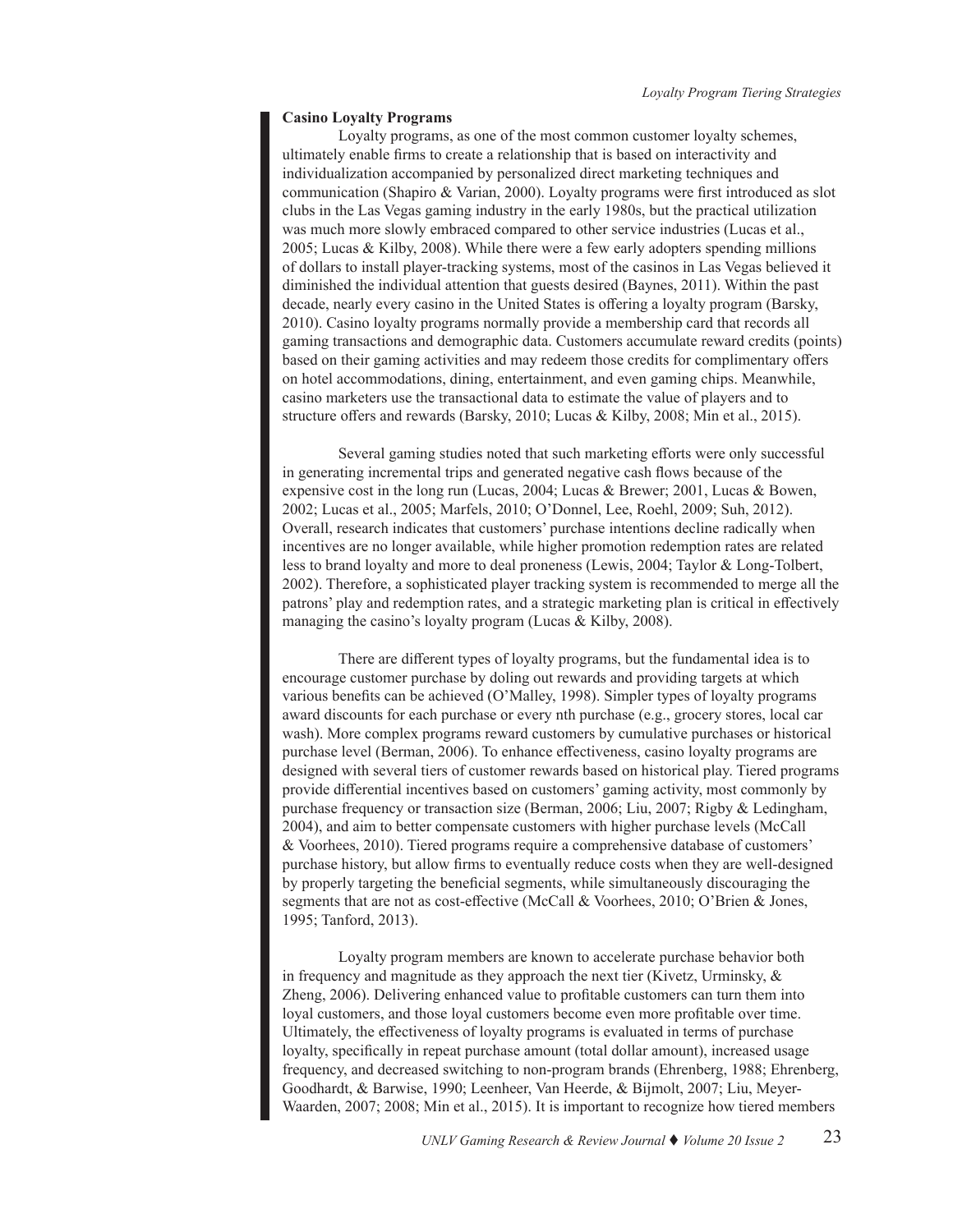#### **Casino Loyalty Programs**

Loyalty programs, as one of the most common customer loyalty schemes, ultimately enable firms to create a relationship that is based on interactivity and individualization accompanied by personalized direct marketing techniques and communication (Shapiro & Varian, 2000). Loyalty programs were first introduced as slot clubs in the Las Vegas gaming industry in the early 1980s, but the practical utilization was much more slowly embraced compared to other service industries (Lucas et al., 2005; Lucas & Kilby, 2008). While there were a few early adopters spending millions of dollars to install player-tracking systems, most of the casinos in Las Vegas believed it diminished the individual attention that guests desired (Baynes, 2011). Within the past decade, nearly every casino in the United States is offering a loyalty program (Barsky, 2010). Casino loyalty programs normally provide a membership card that records all gaming transactions and demographic data. Customers accumulate reward credits (points) based on their gaming activities and may redeem those credits for complimentary offers on hotel accommodations, dining, entertainment, and even gaming chips. Meanwhile, casino marketers use the transactional data to estimate the value of players and to structure offers and rewards (Barsky, 2010; Lucas & Kilby, 2008; Min et al., 2015).

Several gaming studies noted that such marketing efforts were only successful in generating incremental trips and generated negative cash flows because of the expensive cost in the long run (Lucas, 2004; Lucas & Brewer; 2001, Lucas & Bowen, 2002; Lucas et al., 2005; Marfels, 2010; O'Donnel, Lee, Roehl, 2009; Suh, 2012). Overall, research indicates that customers' purchase intentions decline radically when incentives are no longer available, while higher promotion redemption rates are related less to brand loyalty and more to deal proneness (Lewis, 2004; Taylor & Long-Tolbert, 2002). Therefore, a sophisticated player tracking system is recommended to merge all the patrons' play and redemption rates, and a strategic marketing plan is critical in effectively managing the casino's loyalty program (Lucas & Kilby, 2008).

There are different types of loyalty programs, but the fundamental idea is to encourage customer purchase by doling out rewards and providing targets at which various benefits can be achieved (O'Malley, 1998). Simpler types of loyalty programs award discounts for each purchase or every nth purchase (e.g., grocery stores, local car wash). More complex programs reward customers by cumulative purchases or historical purchase level (Berman, 2006). To enhance effectiveness, casino loyalty programs are designed with several tiers of customer rewards based on historical play. Tiered programs provide differential incentives based on customers' gaming activity, most commonly by purchase frequency or transaction size (Berman, 2006; Liu, 2007; Rigby & Ledingham, 2004), and aim to better compensate customers with higher purchase levels (McCall & Voorhees, 2010). Tiered programs require a comprehensive database of customers' purchase history, but allow firms to eventually reduce costs when they are well-designed by properly targeting the beneficial segments, while simultaneously discouraging the segments that are not as cost-effective (McCall & Voorhees, 2010; O'Brien & Jones, 1995; Tanford, 2013).

Loyalty program members are known to accelerate purchase behavior both in frequency and magnitude as they approach the next tier (Kivetz, Urminsky, & Zheng, 2006). Delivering enhanced value to profitable customers can turn them into loyal customers, and those loyal customers become even more profitable over time. Ultimately, the effectiveness of loyalty programs is evaluated in terms of purchase loyalty, specifically in repeat purchase amount (total dollar amount), increased usage frequency, and decreased switching to non-program brands (Ehrenberg, 1988; Ehrenberg, Goodhardt, & Barwise, 1990; Leenheer, Van Heerde, & Bijmolt, 2007; Liu, Meyer-Waarden, 2007; 2008; Min et al., 2015). It is important to recognize how tiered members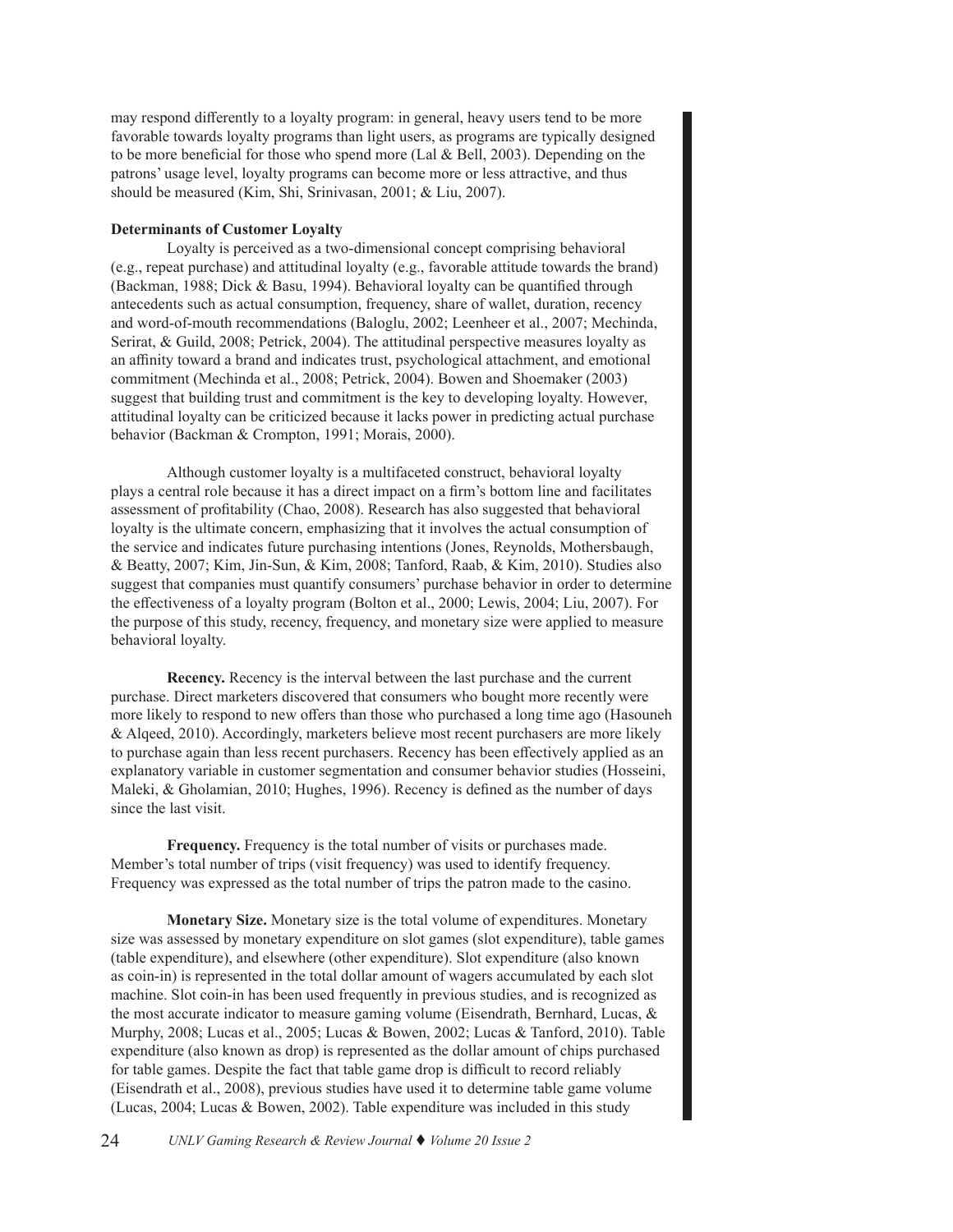may respond differently to a loyalty program: in general, heavy users tend to be more favorable towards loyalty programs than light users, as programs are typically designed to be more beneficial for those who spend more (Lal & Bell, 2003). Depending on the patrons' usage level, loyalty programs can become more or less attractive, and thus should be measured (Kim, Shi, Srinivasan, 2001; & Liu, 2007).

# **Determinants of Customer Loyalty**

Loyalty is perceived as a two-dimensional concept comprising behavioral (e.g., repeat purchase) and attitudinal loyalty (e.g., favorable attitude towards the brand) (Backman, 1988; Dick & Basu, 1994). Behavioral loyalty can be quantified through antecedents such as actual consumption, frequency, share of wallet, duration, recency and word-of-mouth recommendations (Baloglu, 2002; Leenheer et al., 2007; Mechinda, Serirat, & Guild, 2008; Petrick, 2004). The attitudinal perspective measures loyalty as an affinity toward a brand and indicates trust, psychological attachment, and emotional commitment (Mechinda et al., 2008; Petrick, 2004). Bowen and Shoemaker (2003) suggest that building trust and commitment is the key to developing loyalty. However, attitudinal loyalty can be criticized because it lacks power in predicting actual purchase behavior (Backman & Crompton, 1991; Morais, 2000).

Although customer loyalty is a multifaceted construct, behavioral loyalty plays a central role because it has a direct impact on a firm's bottom line and facilitates assessment of profitability (Chao, 2008). Research has also suggested that behavioral loyalty is the ultimate concern, emphasizing that it involves the actual consumption of the service and indicates future purchasing intentions (Jones, Reynolds, Mothersbaugh, & Beatty, 2007; Kim, Jin-Sun, & Kim, 2008; Tanford, Raab, & Kim, 2010). Studies also suggest that companies must quantify consumers' purchase behavior in order to determine the effectiveness of a loyalty program (Bolton et al., 2000; Lewis, 2004; Liu, 2007). For the purpose of this study, recency, frequency, and monetary size were applied to measure behavioral loyalty.

**Recency.** Recency is the interval between the last purchase and the current purchase. Direct marketers discovered that consumers who bought more recently were more likely to respond to new offers than those who purchased a long time ago (Hasouneh & Alqeed, 2010). Accordingly, marketers believe most recent purchasers are more likely to purchase again than less recent purchasers. Recency has been effectively applied as an explanatory variable in customer segmentation and consumer behavior studies (Hosseini, Maleki, & Gholamian, 2010; Hughes, 1996). Recency is defined as the number of days since the last visit.

**Frequency.** Frequency is the total number of visits or purchases made. Member's total number of trips (visit frequency) was used to identify frequency. Frequency was expressed as the total number of trips the patron made to the casino.

**Monetary Size.** Monetary size is the total volume of expenditures. Monetary size was assessed by monetary expenditure on slot games (slot expenditure), table games (table expenditure), and elsewhere (other expenditure). Slot expenditure (also known as coin-in) is represented in the total dollar amount of wagers accumulated by each slot machine. Slot coin-in has been used frequently in previous studies, and is recognized as the most accurate indicator to measure gaming volume (Eisendrath, Bernhard, Lucas, & Murphy, 2008; Lucas et al., 2005; Lucas & Bowen, 2002; Lucas & Tanford, 2010). Table expenditure (also known as drop) is represented as the dollar amount of chips purchased for table games. Despite the fact that table game drop is difficult to record reliably (Eisendrath et al., 2008), previous studies have used it to determine table game volume (Lucas, 2004; Lucas & Bowen, 2002). Table expenditure was included in this study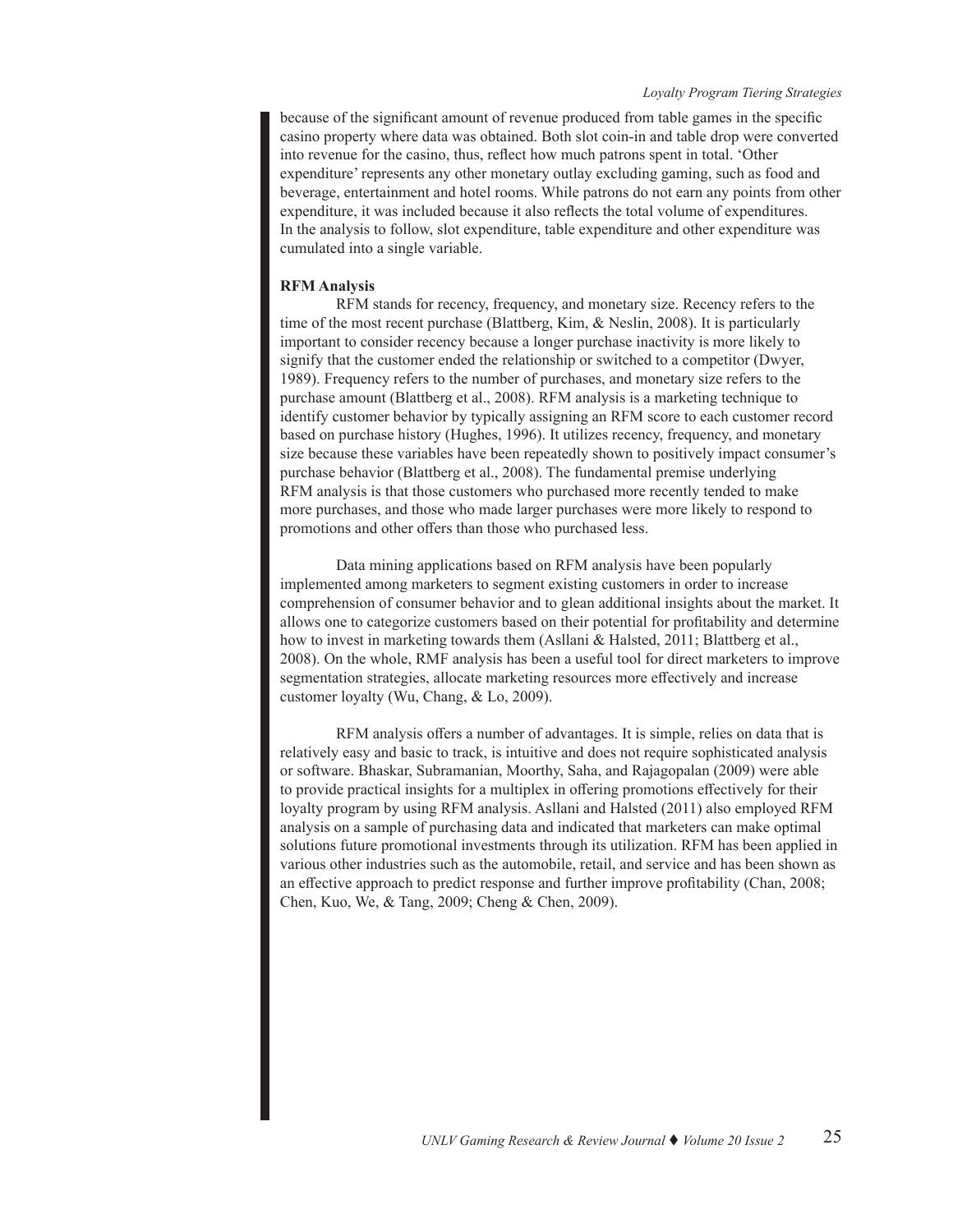because of the significant amount of revenue produced from table games in the specific casino property where data was obtained. Both slot coin-in and table drop were converted into revenue for the casino, thus, reflect how much patrons spent in total. 'Other expenditure' represents any other monetary outlay excluding gaming, such as food and beverage, entertainment and hotel rooms. While patrons do not earn any points from other expenditure, it was included because it also reflects the total volume of expenditures. In the analysis to follow, slot expenditure, table expenditure and other expenditure was cumulated into a single variable.

# **RFM Analysis**

RFM stands for recency, frequency, and monetary size. Recency refers to the time of the most recent purchase (Blattberg, Kim, & Neslin, 2008). It is particularly important to consider recency because a longer purchase inactivity is more likely to signify that the customer ended the relationship or switched to a competitor (Dwyer, 1989). Frequency refers to the number of purchases, and monetary size refers to the purchase amount (Blattberg et al., 2008). RFM analysis is a marketing technique to identify customer behavior by typically assigning an RFM score to each customer record based on purchase history (Hughes, 1996). It utilizes recency, frequency, and monetary size because these variables have been repeatedly shown to positively impact consumer's purchase behavior (Blattberg et al., 2008). The fundamental premise underlying RFM analysis is that those customers who purchased more recently tended to make more purchases, and those who made larger purchases were more likely to respond to promotions and other offers than those who purchased less.

Data mining applications based on RFM analysis have been popularly implemented among marketers to segment existing customers in order to increase comprehension of consumer behavior and to glean additional insights about the market. It allows one to categorize customers based on their potential for profitability and determine how to invest in marketing towards them (Asllani & Halsted, 2011; Blattberg et al., 2008). On the whole, RMF analysis has been a useful tool for direct marketers to improve segmentation strategies, allocate marketing resources more effectively and increase customer loyalty (Wu, Chang, & Lo, 2009).

RFM analysis offers a number of advantages. It is simple, relies on data that is relatively easy and basic to track, is intuitive and does not require sophisticated analysis or software. Bhaskar, Subramanian, Moorthy, Saha, and Rajagopalan (2009) were able to provide practical insights for a multiplex in offering promotions effectively for their loyalty program by using RFM analysis. Asllani and Halsted (2011) also employed RFM analysis on a sample of purchasing data and indicated that marketers can make optimal solutions future promotional investments through its utilization. RFM has been applied in various other industries such as the automobile, retail, and service and has been shown as an effective approach to predict response and further improve profitability (Chan, 2008; Chen, Kuo, We, & Tang, 2009; Cheng & Chen, 2009).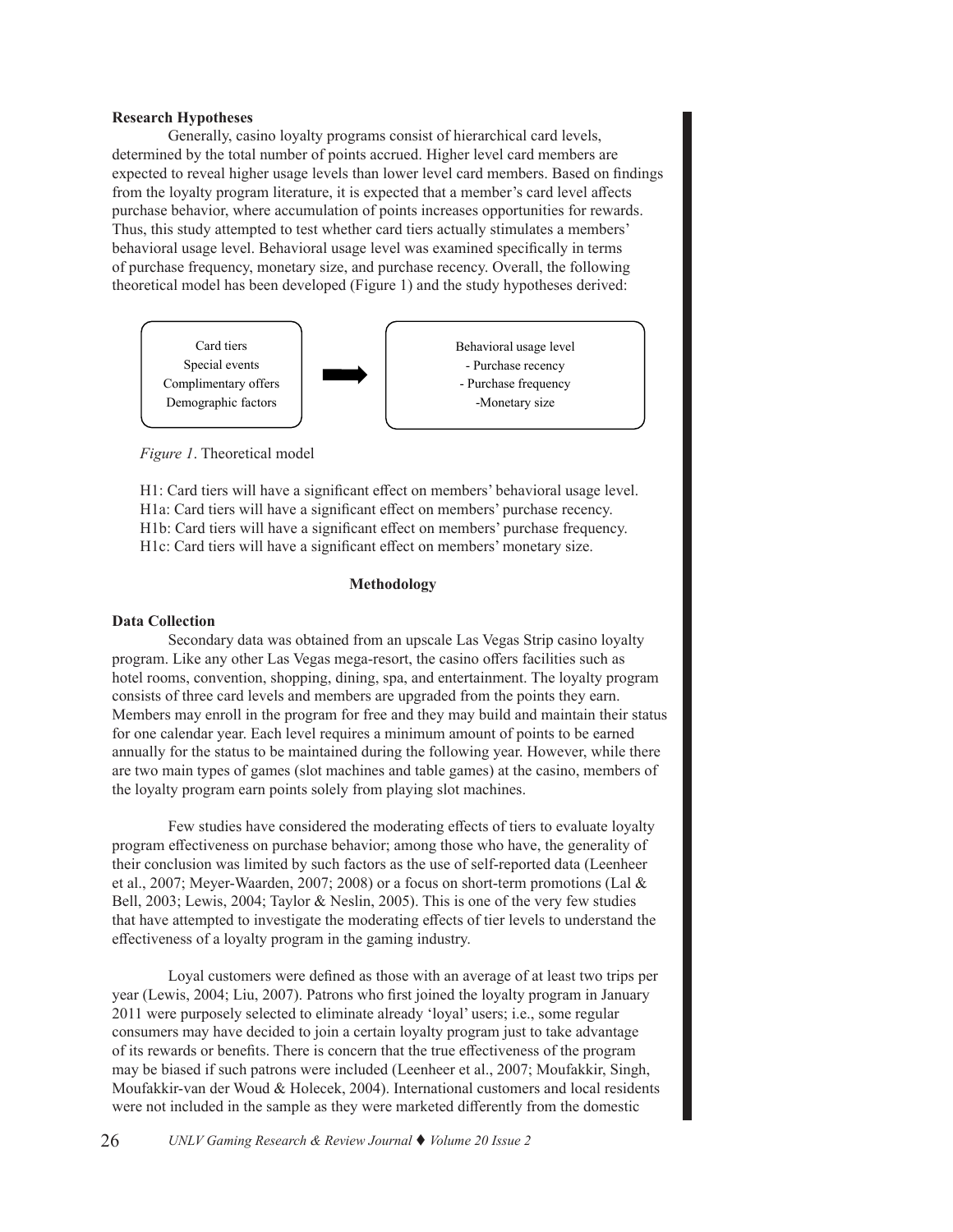#### **Research Hypotheses**

Generally, casino loyalty programs consist of hierarchical card levels, determined by the total number of points accrued. Higher level card members are expected to reveal higher usage levels than lower level card members. Based on findings from the loyalty program literature, it is expected that a member's card level affects purchase behavior, where accumulation of points increases opportunities for rewards. Thus, this study attempted to test whether card tiers actually stimulates a members' behavioral usage level. Behavioral usage level was examined specifically in terms of purchase frequency, monetary size, and purchase recency. Overall, the following theoretical model has been developed (Figure 1) and the study hypotheses derived:



*Figure 1*. Theoretical model

H1: Card tiers will have a significant effect on members' behavioral usage level. H1a: Card tiers will have a significant effect on members' purchase recency. H1b: Card tiers will have a significant effect on members' purchase frequency. H1c: Card tiers will have a significant effect on members' monetary size.

# **Methodology**

#### **Data Collection**

Secondary data was obtained from an upscale Las Vegas Strip casino loyalty program. Like any other Las Vegas mega-resort, the casino offers facilities such as hotel rooms, convention, shopping, dining, spa, and entertainment. The loyalty program consists of three card levels and members are upgraded from the points they earn. Members may enroll in the program for free and they may build and maintain their status for one calendar year. Each level requires a minimum amount of points to be earned annually for the status to be maintained during the following year. However, while there are two main types of games (slot machines and table games) at the casino, members of the loyalty program earn points solely from playing slot machines.

Few studies have considered the moderating effects of tiers to evaluate loyalty program effectiveness on purchase behavior; among those who have, the generality of their conclusion was limited by such factors as the use of self-reported data (Leenheer et al., 2007; Meyer-Waarden, 2007; 2008) or a focus on short-term promotions (Lal & Bell, 2003; Lewis, 2004; Taylor & Neslin, 2005). This is one of the very few studies that have attempted to investigate the moderating effects of tier levels to understand the effectiveness of a loyalty program in the gaming industry.

Loyal customers were defined as those with an average of at least two trips per year (Lewis, 2004; Liu, 2007). Patrons who first joined the loyalty program in January 2011 were purposely selected to eliminate already 'loyal' users; i.e., some regular consumers may have decided to join a certain loyalty program just to take advantage of its rewards or benefits. There is concern that the true effectiveness of the program may be biased if such patrons were included (Leenheer et al., 2007; Moufakkir, Singh, Moufakkir-van der Woud & Holecek, 2004). International customers and local residents were not included in the sample as they were marketed differently from the domestic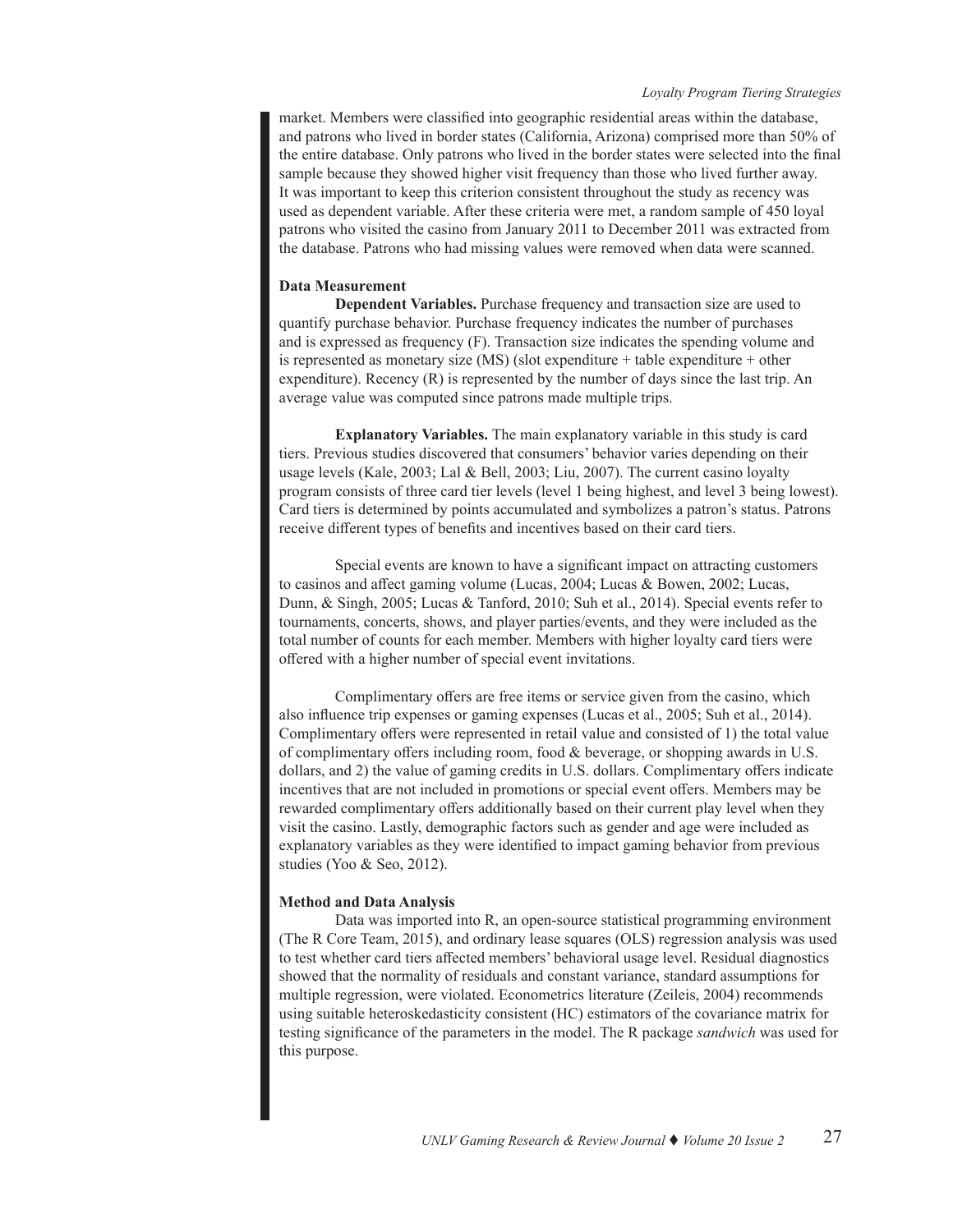market. Members were classified into geographic residential areas within the database, and patrons who lived in border states (California, Arizona) comprised more than 50% of the entire database. Only patrons who lived in the border states were selected into the final sample because they showed higher visit frequency than those who lived further away. It was important to keep this criterion consistent throughout the study as recency was used as dependent variable. After these criteria were met, a random sample of 450 loyal patrons who visited the casino from January 2011 to December 2011 was extracted from the database. Patrons who had missing values were removed when data were scanned.

#### **Data Measurement**

**Dependent Variables.** Purchase frequency and transaction size are used to quantify purchase behavior. Purchase frequency indicates the number of purchases and is expressed as frequency (F). Transaction size indicates the spending volume and is represented as monetary size (MS) (slot expenditure + table expenditure + other expenditure). Recency  $(R)$  is represented by the number of days since the last trip. An average value was computed since patrons made multiple trips.

**Explanatory Variables.** The main explanatory variable in this study is card tiers. Previous studies discovered that consumers' behavior varies depending on their usage levels (Kale, 2003; Lal & Bell, 2003; Liu, 2007). The current casino loyalty program consists of three card tier levels (level 1 being highest, and level 3 being lowest). Card tiers is determined by points accumulated and symbolizes a patron's status. Patrons receive different types of benefits and incentives based on their card tiers.

Special events are known to have a significant impact on attracting customers to casinos and affect gaming volume (Lucas, 2004; Lucas & Bowen, 2002; Lucas, Dunn, & Singh, 2005; Lucas & Tanford, 2010; Suh et al., 2014). Special events refer to tournaments, concerts, shows, and player parties/events, and they were included as the total number of counts for each member. Members with higher loyalty card tiers were offered with a higher number of special event invitations.

Complimentary offers are free items or service given from the casino, which also influence trip expenses or gaming expenses (Lucas et al., 2005; Suh et al., 2014). Complimentary offers were represented in retail value and consisted of 1) the total value of complimentary offers including room, food & beverage, or shopping awards in U.S. dollars, and 2) the value of gaming credits in U.S. dollars. Complimentary offers indicate incentives that are not included in promotions or special event offers. Members may be rewarded complimentary offers additionally based on their current play level when they visit the casino. Lastly, demographic factors such as gender and age were included as explanatory variables as they were identified to impact gaming behavior from previous studies (Yoo & Seo, 2012).

#### **Method and Data Analysis**

Data was imported into R, an open-source statistical programming environment (The R Core Team, 2015), and ordinary lease squares (OLS) regression analysis was used to test whether card tiers affected members' behavioral usage level. Residual diagnostics showed that the normality of residuals and constant variance, standard assumptions for multiple regression, were violated. Econometrics literature (Zeileis, 2004) recommends using suitable heteroskedasticity consistent (HC) estimators of the covariance matrix for testing significance of the parameters in the model. The R package *sandwich* was used for this purpose.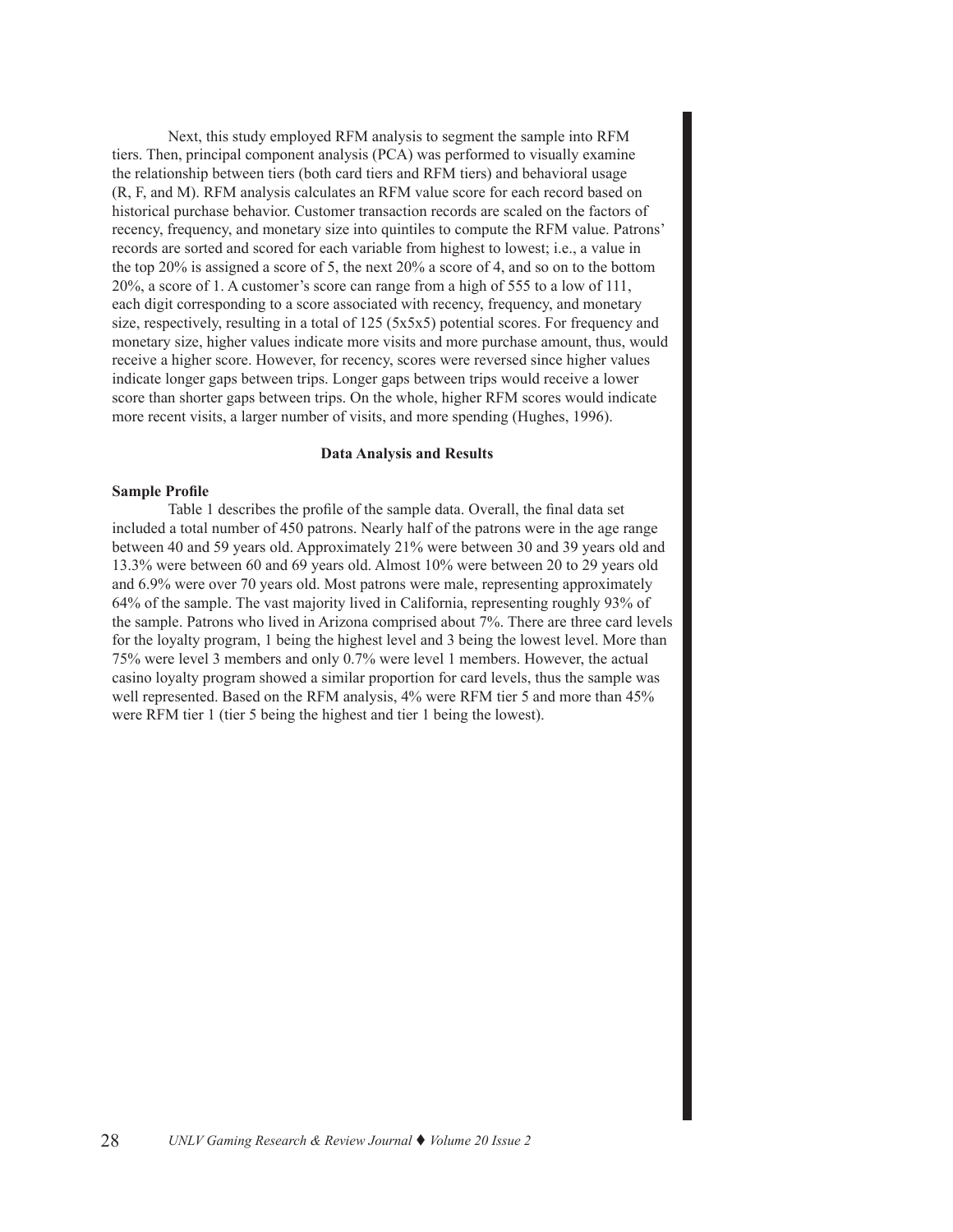Next, this study employed RFM analysis to segment the sample into RFM tiers. Then, principal component analysis (PCA) was performed to visually examine the relationship between tiers (both card tiers and RFM tiers) and behavioral usage (R, F, and M). RFM analysis calculates an RFM value score for each record based on historical purchase behavior. Customer transaction records are scaled on the factors of recency, frequency, and monetary size into quintiles to compute the RFM value. Patrons' records are sorted and scored for each variable from highest to lowest; i.e., a value in the top 20% is assigned a score of 5, the next 20% a score of 4, and so on to the bottom 20%, a score of 1. A customer's score can range from a high of 555 to a low of 111, each digit corresponding to a score associated with recency, frequency, and monetary size, respectively, resulting in a total of 125 (5x5x5) potential scores. For frequency and monetary size, higher values indicate more visits and more purchase amount, thus, would receive a higher score. However, for recency, scores were reversed since higher values indicate longer gaps between trips. Longer gaps between trips would receive a lower score than shorter gaps between trips. On the whole, higher RFM scores would indicate more recent visits, a larger number of visits, and more spending (Hughes, 1996).

#### **Data Analysis and Results**

#### **Sample Profile**

Table 1 describes the profile of the sample data. Overall, the final data set included a total number of 450 patrons. Nearly half of the patrons were in the age range between 40 and 59 years old. Approximately 21% were between 30 and 39 years old and 13.3% were between 60 and 69 years old. Almost 10% were between 20 to 29 years old and 6.9% were over 70 years old. Most patrons were male, representing approximately 64% of the sample. The vast majority lived in California, representing roughly 93% of the sample. Patrons who lived in Arizona comprised about 7%. There are three card levels for the loyalty program, 1 being the highest level and 3 being the lowest level. More than 75% were level 3 members and only 0.7% were level 1 members. However, the actual casino loyalty program showed a similar proportion for card levels, thus the sample was well represented. Based on the RFM analysis, 4% were RFM tier 5 and more than 45% were RFM tier 1 (tier 5 being the highest and tier 1 being the lowest).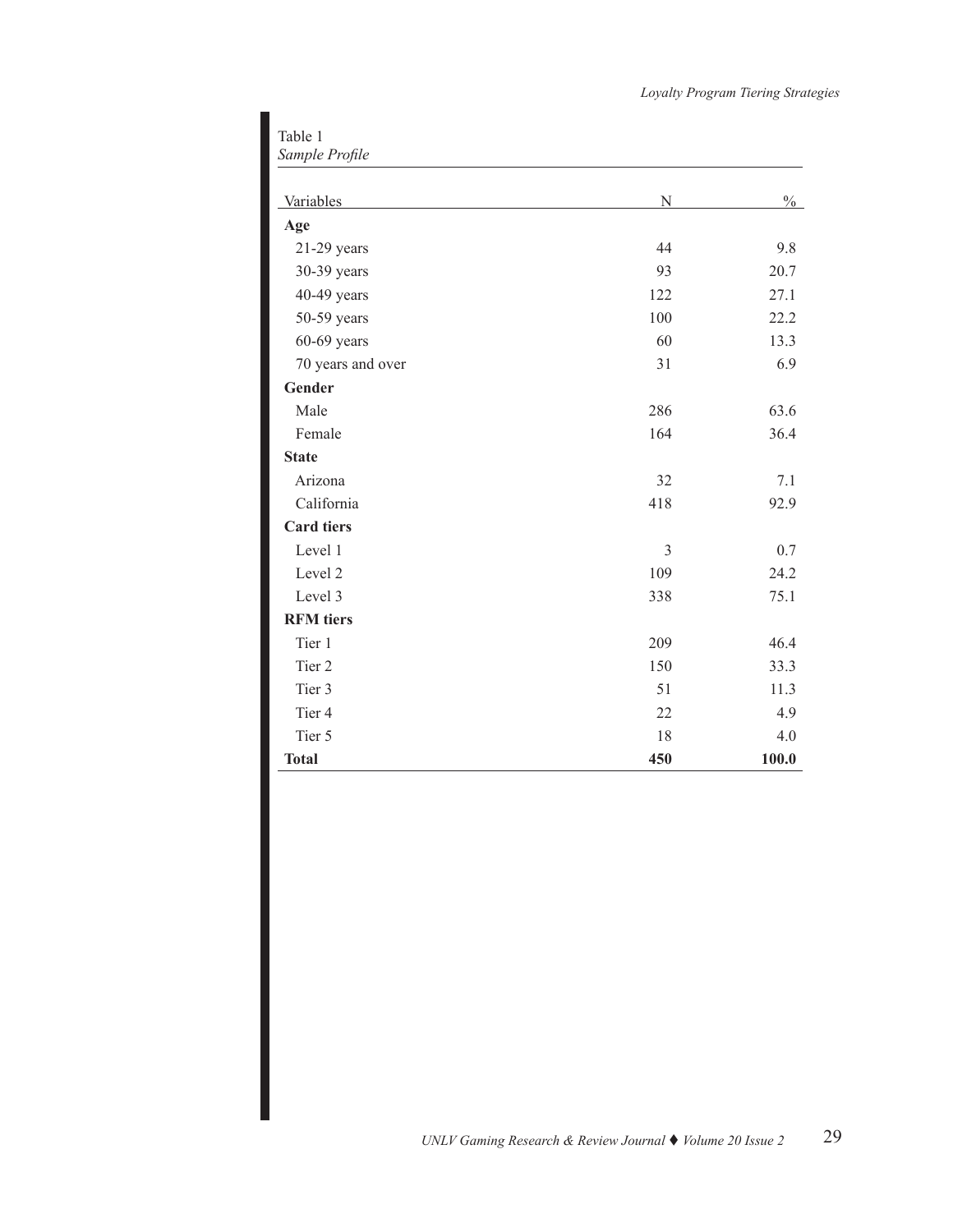Table 1 *Sample Profile*

| Variables         | N   | $\frac{0}{0}$ |
|-------------------|-----|---------------|
| Age               |     |               |
| 21-29 years       | 44  | 9.8           |
| 30-39 years       | 93  | 20.7          |
| 40-49 years       | 122 | 27.1          |
| 50-59 years       | 100 | 22.2          |
| $60-69$ years     | 60  | 13.3          |
| 70 years and over | 31  | 6.9           |
| Gender            |     |               |
| Male              | 286 | 63.6          |
| Female            | 164 | 36.4          |
| <b>State</b>      |     |               |
| Arizona           | 32  | 7.1           |
| California        | 418 | 92.9          |
| <b>Card tiers</b> |     |               |
| Level 1           | 3   | 0.7           |
| Level 2           | 109 | 24.2          |
| Level 3           | 338 | 75.1          |
| <b>RFM</b> tiers  |     |               |
| Tier 1            | 209 | 46.4          |
| Tier 2            | 150 | 33.3          |
| Tier 3            | 51  | 11.3          |
| Tier 4            | 22  | 4.9           |
| Tier 5            | 18  | 4.0           |
| <b>Total</b>      | 450 | 100.0         |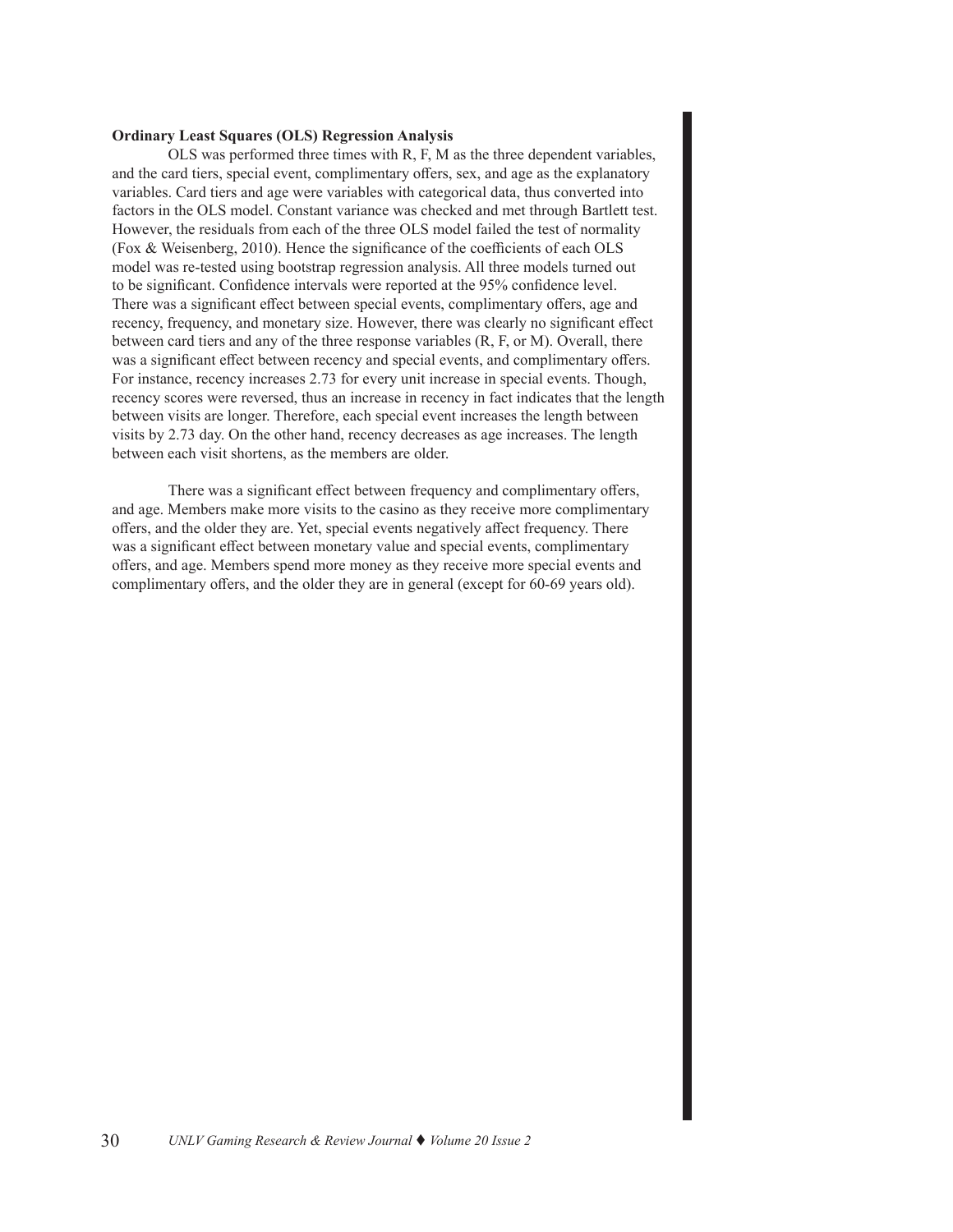# **Ordinary Least Squares (OLS) Regression Analysis**

OLS was performed three times with R, F, M as the three dependent variables, and the card tiers, special event, complimentary offers, sex, and age as the explanatory variables. Card tiers and age were variables with categorical data, thus converted into factors in the OLS model. Constant variance was checked and met through Bartlett test. However, the residuals from each of the three OLS model failed the test of normality (Fox & Weisenberg, 2010). Hence the significance of the coefficients of each OLS model was re-tested using bootstrap regression analysis. All three models turned out to be significant. Confidence intervals were reported at the 95% confidence level. There was a significant effect between special events, complimentary offers, age and recency, frequency, and monetary size. However, there was clearly no significant effect between card tiers and any of the three response variables (R, F, or M). Overall, there was a significant effect between recency and special events, and complimentary offers. For instance, recency increases 2.73 for every unit increase in special events. Though, recency scores were reversed, thus an increase in recency in fact indicates that the length between visits are longer. Therefore, each special event increases the length between visits by 2.73 day. On the other hand, recency decreases as age increases. The length between each visit shortens, as the members are older.

There was a significant effect between frequency and complimentary offers, and age. Members make more visits to the casino as they receive more complimentary offers, and the older they are. Yet, special events negatively affect frequency. There was a significant effect between monetary value and special events, complimentary offers, and age. Members spend more money as they receive more special events and complimentary offers, and the older they are in general (except for 60-69 years old).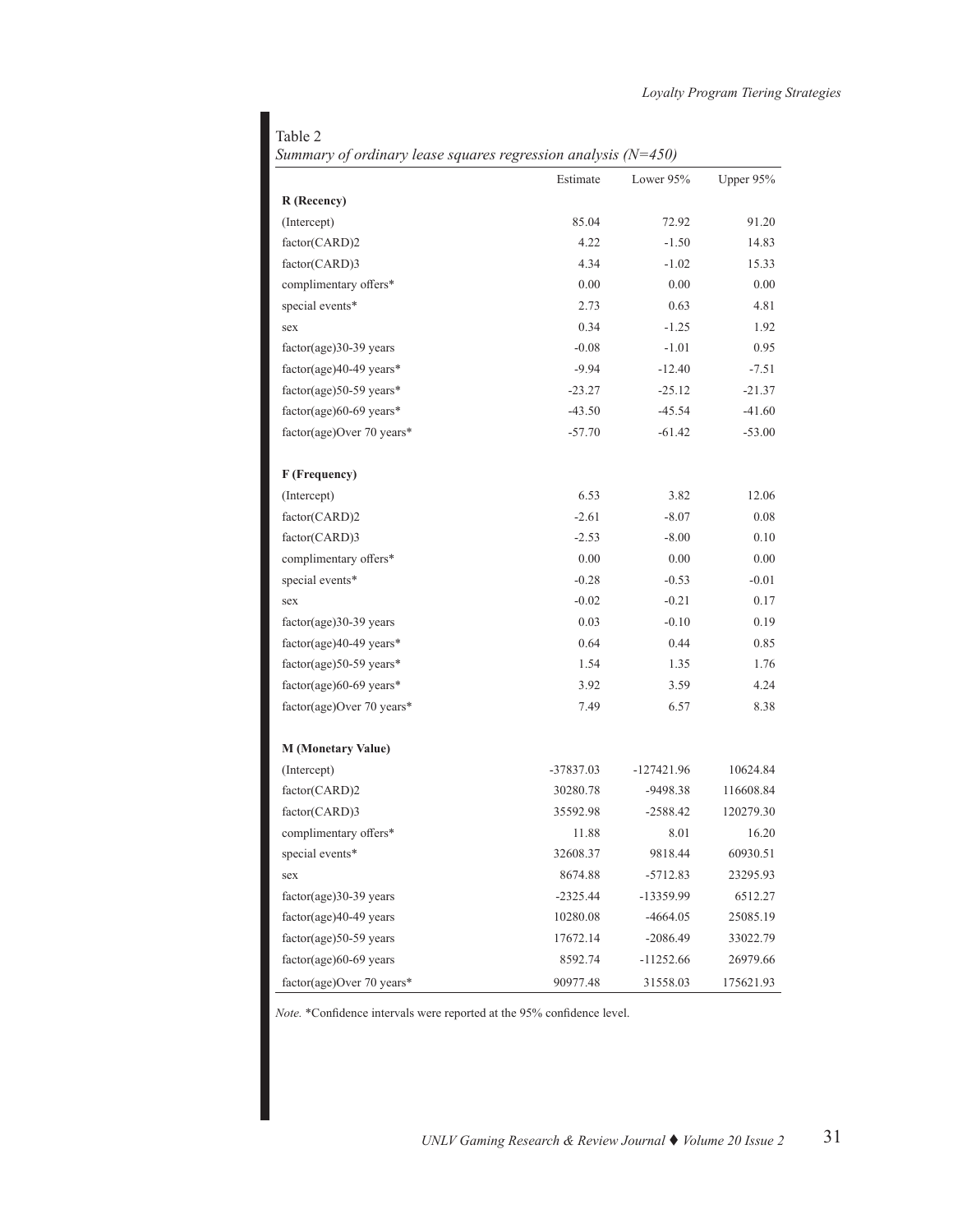# Table 2

| Summary of ordinary lease squares regression analysis ( $N=450$ ) |  |  |  |  |
|-------------------------------------------------------------------|--|--|--|--|
|-------------------------------------------------------------------|--|--|--|--|

|                           | Estimate    | Lower 95%    | Upper 95% |
|---------------------------|-------------|--------------|-----------|
| R (Recency)               |             |              |           |
| (Intercept)               | 85.04       | 72.92        | 91.20     |
| factor(CARD)2             | 4.22        | $-1.50$      | 14.83     |
| factor(CARD)3             | 4.34        | $-1.02$      | 15.33     |
| complimentary offers*     | 0.00        | 0.00         | 0.00      |
| special events*           | 2.73        | 0.63         | 4.81      |
| sex                       | 0.34        | $-1.25$      | 1.92      |
| $factor(age)30-39 years$  | $-0.08$     | $-1.01$      | 0.95      |
| factor(age)40-49 years*   | $-9.94$     | $-12.40$     | $-7.51$   |
| factor(age)50-59 years*   | $-23.27$    | $-25.12$     | $-21.37$  |
| factor(age)60-69 years*   | $-43.50$    | $-45.54$     | $-41.60$  |
| factor(age)Over 70 years* | $-57.70$    | $-61.42$     | $-53.00$  |
| F (Frequency)             |             |              |           |
| (Intercept)               | 6.53        | 3.82         | 12.06     |
| factor(CARD)2             | $-2.61$     | $-8.07$      | 0.08      |
| factor(CARD)3             | $-2.53$     | $-8.00$      | 0.10      |
| complimentary offers*     | 0.00        | 0.00         | 0.00      |
| special events*           | $-0.28$     | $-0.53$      | $-0.01$   |
| sex                       | $-0.02$     | $-0.21$      | 0.17      |
| $factor(age)30-39 years$  | 0.03        | $-0.10$      | 0.19      |
| factor(age)40-49 years*   | 0.64        | 0.44         | 0.85      |
| factor(age)50-59 years*   | 1.54        | 1.35         | 1.76      |
| factor(age)60-69 years*   | 3.92        | 3.59         | 4.24      |
| factor(age)Over 70 years* | 7.49        | 6.57         | 8.38      |
| <b>M</b> (Monetary Value) |             |              |           |
| (Intercept)               | $-37837.03$ | $-127421.96$ | 10624.84  |
| factor(CARD)2             | 30280.78    | -9498.38     | 116608.84 |
| factor(CARD)3             | 35592.98    | $-2588.42$   | 120279.30 |
| complimentary offers*     | 11.88       | 8.01         | 16.20     |
| special events*           | 32608.37    | 9818.44      | 60930.51  |
| sex                       | 8674.88     | $-5712.83$   | 23295.93  |
| $factor(age)30-39 years$  | $-2325.44$  | -13359.99    | 6512.27   |
| $factor(age)40-49 years$  | 10280.08    | $-4664.05$   | 25085.19  |
| $factor(age)$ 50-59 years | 17672.14    | $-2086.49$   | 33022.79  |
| factor(age)60-69 years    | 8592.74     | -11252.66    | 26979.66  |
| factor(age)Over 70 years* | 90977.48    | 31558.03     | 175621.93 |

*Note.* \*Confidence intervals were reported at the 95% confidence level.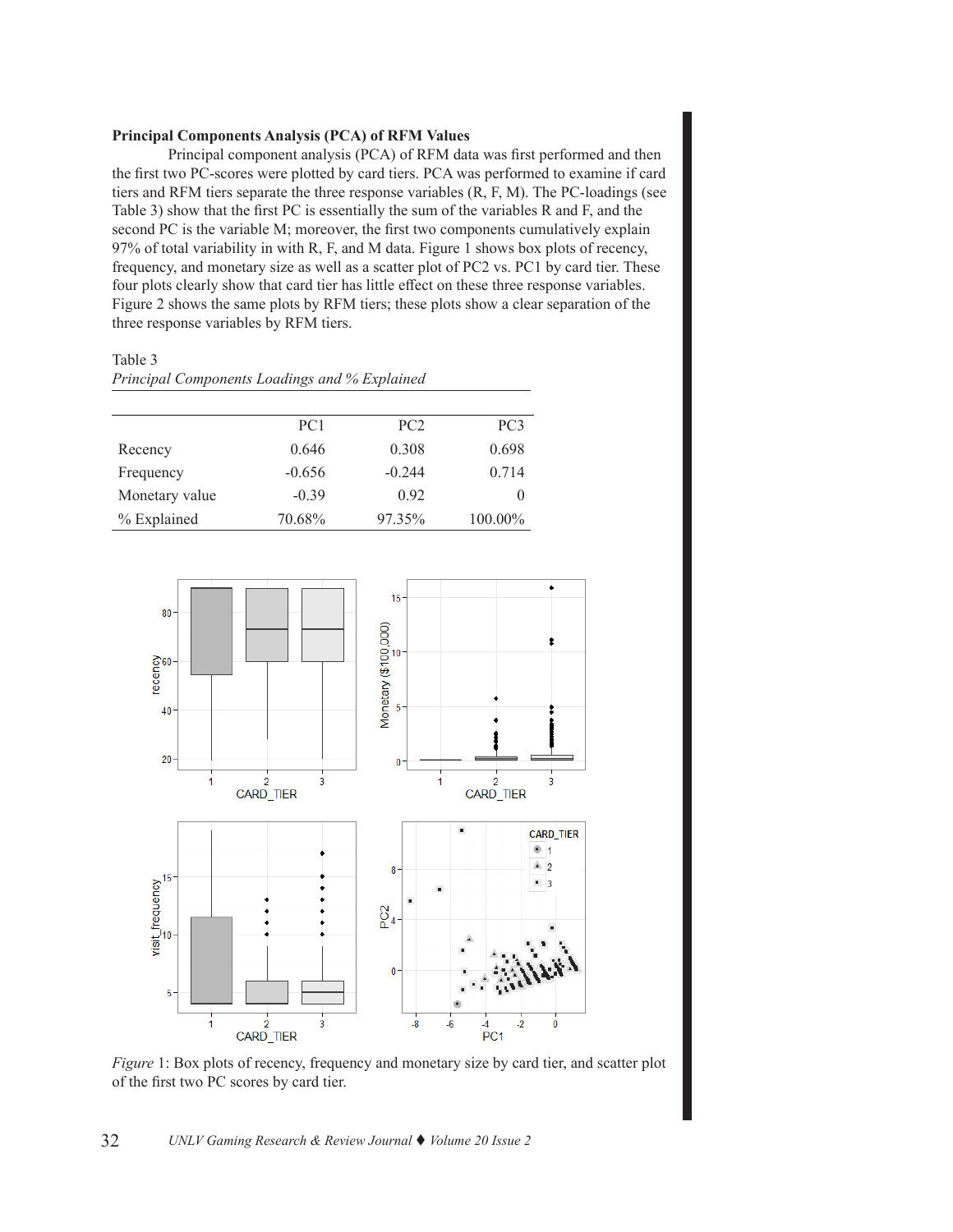# **Principal Components Analysis (PCA) of RFM Values**

Principal component analysis (PCA) of RFM data was first performed and then the first two PC-scores were plotted by card tiers. PCA was performed to examine if card tiers and RFM tiers separate the three response variables (R, F, M). The PC-loadings (see Table 3) show that the first PC is essentially the sum of the variables R and F, and the second PC is the variable M; moreover, the first two components cumulatively explain 97% of total variability in with R, F, and M data. Figure 1 shows box plots of recency, frequency, and monetary size as well as a scatter plot of PC2 vs. PC1 by card tier. These four plots clearly show that card tier has little effect on these three response variables. Figure 2 shows the same plots by RFM tiers; these plots show a clear separation of the three response variables by RFM tiers.

Table 3 *Principal Components Loadings and % Explained*

|                | PC <sub>1</sub> | PC2      | PC <sub>3</sub> |
|----------------|-----------------|----------|-----------------|
| Recency        | 0.646           | 0.308    | 0.698           |
| Frequency      | $-0.656$        | $-0.244$ | 0.714           |
| Monetary value | $-0.39$         | 0.92     | $\theta$        |
| % Explained    | 70.68%          | 97.35%   | 100.00%         |



*Figure* 1: Box plots of recency, frequency and monetary size by card tier, and scatter plot of the first two PC scores by card tier.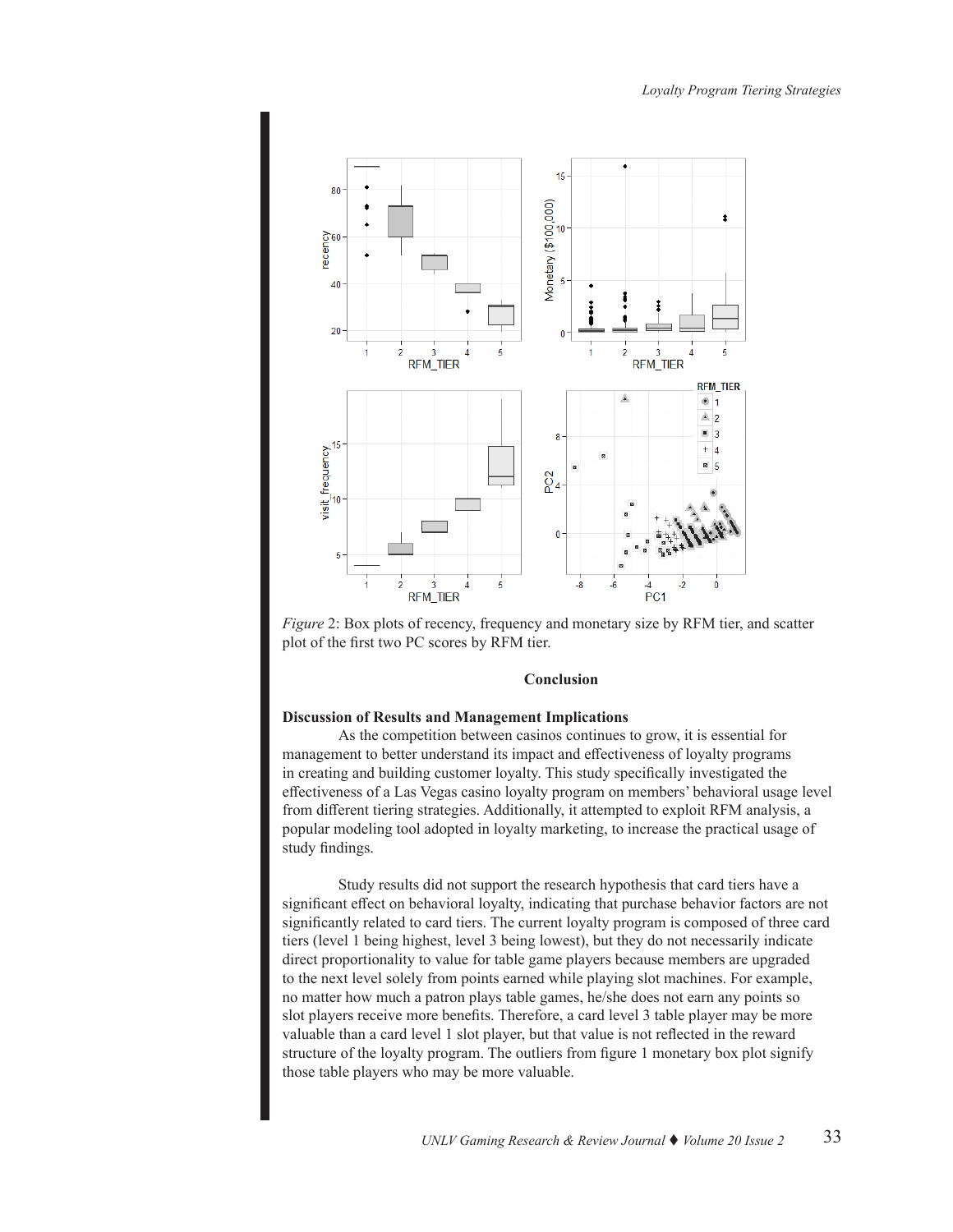

*Figure* 2: Box plots of recency, frequency and monetary size by RFM tier, and scatter plot of the first two PC scores by RFM tier.

# **Conclusion**

#### **Discussion of Results and Management Implications**

As the competition between casinos continues to grow, it is essential for management to better understand its impact and effectiveness of loyalty programs in creating and building customer loyalty. This study specifically investigated the effectiveness of a Las Vegas casino loyalty program on members' behavioral usage level from different tiering strategies. Additionally, it attempted to exploit RFM analysis, a popular modeling tool adopted in loyalty marketing, to increase the practical usage of study findings.

Study results did not support the research hypothesis that card tiers have a significant effect on behavioral loyalty, indicating that purchase behavior factors are not significantly related to card tiers. The current loyalty program is composed of three card tiers (level 1 being highest, level 3 being lowest), but they do not necessarily indicate direct proportionality to value for table game players because members are upgraded to the next level solely from points earned while playing slot machines. For example, no matter how much a patron plays table games, he/she does not earn any points so slot players receive more benefits. Therefore, a card level 3 table player may be more valuable than a card level 1 slot player, but that value is not reflected in the reward structure of the loyalty program. The outliers from figure 1 monetary box plot signify those table players who may be more valuable.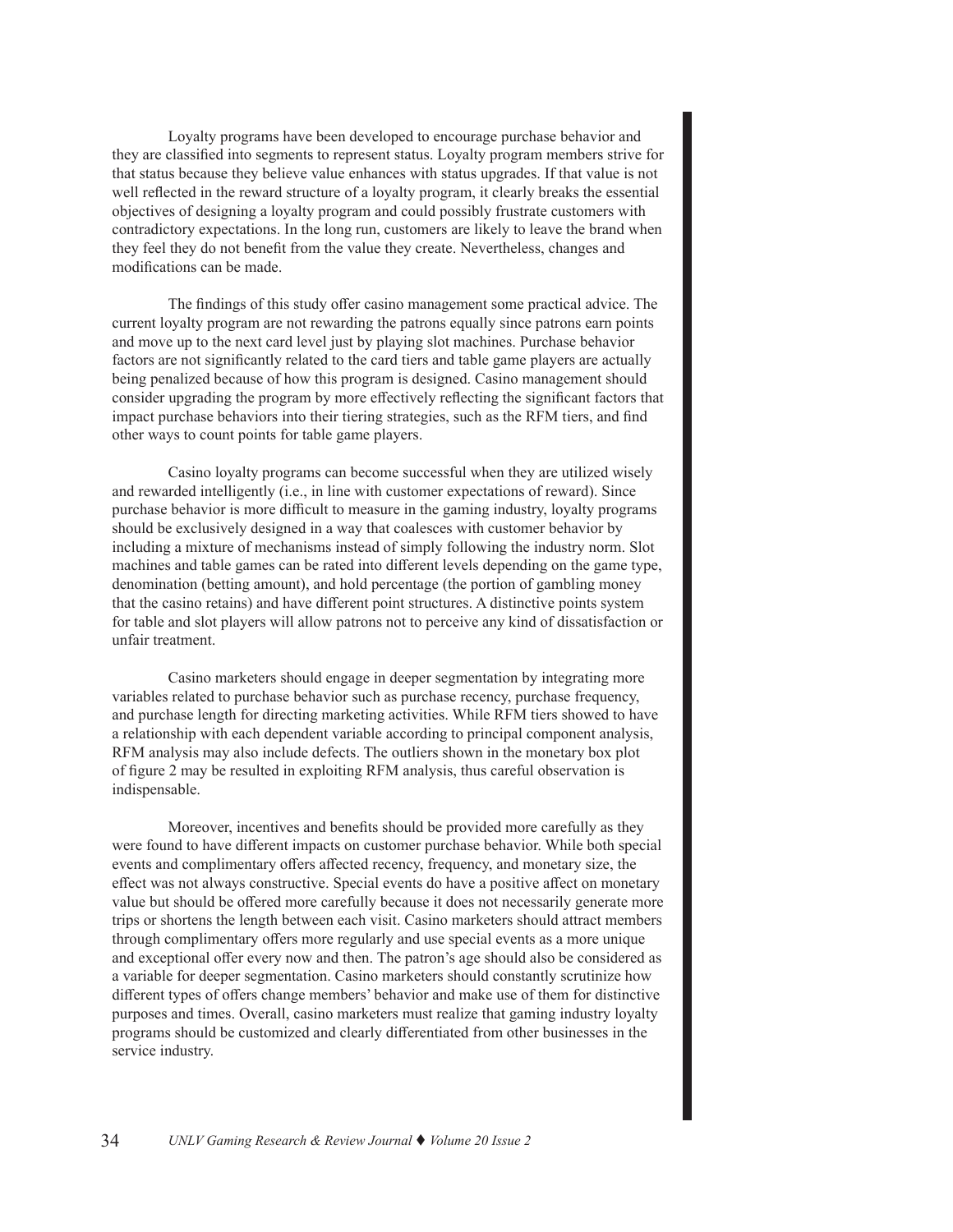Loyalty programs have been developed to encourage purchase behavior and they are classified into segments to represent status. Loyalty program members strive for that status because they believe value enhances with status upgrades. If that value is not well reflected in the reward structure of a loyalty program, it clearly breaks the essential objectives of designing a loyalty program and could possibly frustrate customers with contradictory expectations. In the long run, customers are likely to leave the brand when they feel they do not benefit from the value they create. Nevertheless, changes and modifications can be made.

The findings of this study offer casino management some practical advice. The current loyalty program are not rewarding the patrons equally since patrons earn points and move up to the next card level just by playing slot machines. Purchase behavior factors are not significantly related to the card tiers and table game players are actually being penalized because of how this program is designed. Casino management should consider upgrading the program by more effectively reflecting the significant factors that impact purchase behaviors into their tiering strategies, such as the RFM tiers, and find other ways to count points for table game players.

Casino loyalty programs can become successful when they are utilized wisely and rewarded intelligently (i.e., in line with customer expectations of reward). Since purchase behavior is more difficult to measure in the gaming industry, loyalty programs should be exclusively designed in a way that coalesces with customer behavior by including a mixture of mechanisms instead of simply following the industry norm. Slot machines and table games can be rated into different levels depending on the game type, denomination (betting amount), and hold percentage (the portion of gambling money that the casino retains) and have different point structures. A distinctive points system for table and slot players will allow patrons not to perceive any kind of dissatisfaction or unfair treatment.

Casino marketers should engage in deeper segmentation by integrating more variables related to purchase behavior such as purchase recency, purchase frequency, and purchase length for directing marketing activities. While RFM tiers showed to have a relationship with each dependent variable according to principal component analysis, RFM analysis may also include defects. The outliers shown in the monetary box plot of figure 2 may be resulted in exploiting RFM analysis, thus careful observation is indispensable.

Moreover, incentives and benefits should be provided more carefully as they were found to have different impacts on customer purchase behavior. While both special events and complimentary offers affected recency, frequency, and monetary size, the effect was not always constructive. Special events do have a positive affect on monetary value but should be offered more carefully because it does not necessarily generate more trips or shortens the length between each visit. Casino marketers should attract members through complimentary offers more regularly and use special events as a more unique and exceptional offer every now and then. The patron's age should also be considered as a variable for deeper segmentation. Casino marketers should constantly scrutinize how different types of offers change members' behavior and make use of them for distinctive purposes and times. Overall, casino marketers must realize that gaming industry loyalty programs should be customized and clearly differentiated from other businesses in the service industry.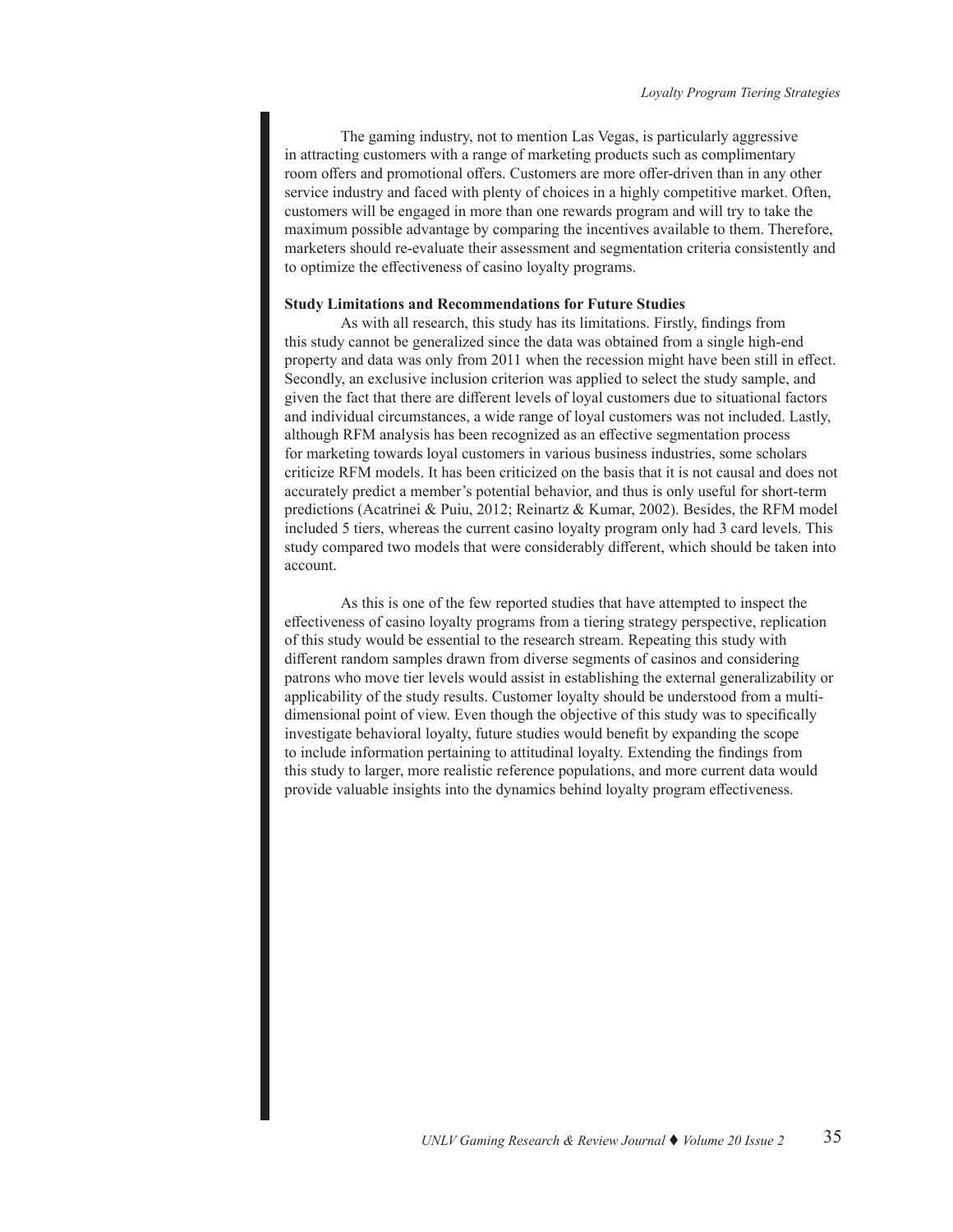The gaming industry, not to mention Las Vegas, is particularly aggressive in attracting customers with a range of marketing products such as complimentary room offers and promotional offers. Customers are more offer-driven than in any other service industry and faced with plenty of choices in a highly competitive market. Often, customers will be engaged in more than one rewards program and will try to take the maximum possible advantage by comparing the incentives available to them. Therefore, marketers should re-evaluate their assessment and segmentation criteria consistently and to optimize the effectiveness of casino loyalty programs.

#### **Study Limitations and Recommendations for Future Studies**

As with all research, this study has its limitations. Firstly, findings from this study cannot be generalized since the data was obtained from a single high-end property and data was only from 2011 when the recession might have been still in effect. Secondly, an exclusive inclusion criterion was applied to select the study sample, and given the fact that there are different levels of loyal customers due to situational factors and individual circumstances, a wide range of loyal customers was not included. Lastly, although RFM analysis has been recognized as an effective segmentation process for marketing towards loyal customers in various business industries, some scholars criticize RFM models. It has been criticized on the basis that it is not causal and does not accurately predict a member's potential behavior, and thus is only useful for short-term predictions (Acatrinei & Puiu, 2012; Reinartz & Kumar, 2002). Besides, the RFM model included 5 tiers, whereas the current casino loyalty program only had 3 card levels. This study compared two models that were considerably different, which should be taken into account.

As this is one of the few reported studies that have attempted to inspect the effectiveness of casino loyalty programs from a tiering strategy perspective, replication of this study would be essential to the research stream. Repeating this study with different random samples drawn from diverse segments of casinos and considering patrons who move tier levels would assist in establishing the external generalizability or applicability of the study results. Customer loyalty should be understood from a multidimensional point of view. Even though the objective of this study was to specifically investigate behavioral loyalty, future studies would benefit by expanding the scope to include information pertaining to attitudinal loyalty. Extending the findings from this study to larger, more realistic reference populations, and more current data would provide valuable insights into the dynamics behind loyalty program effectiveness.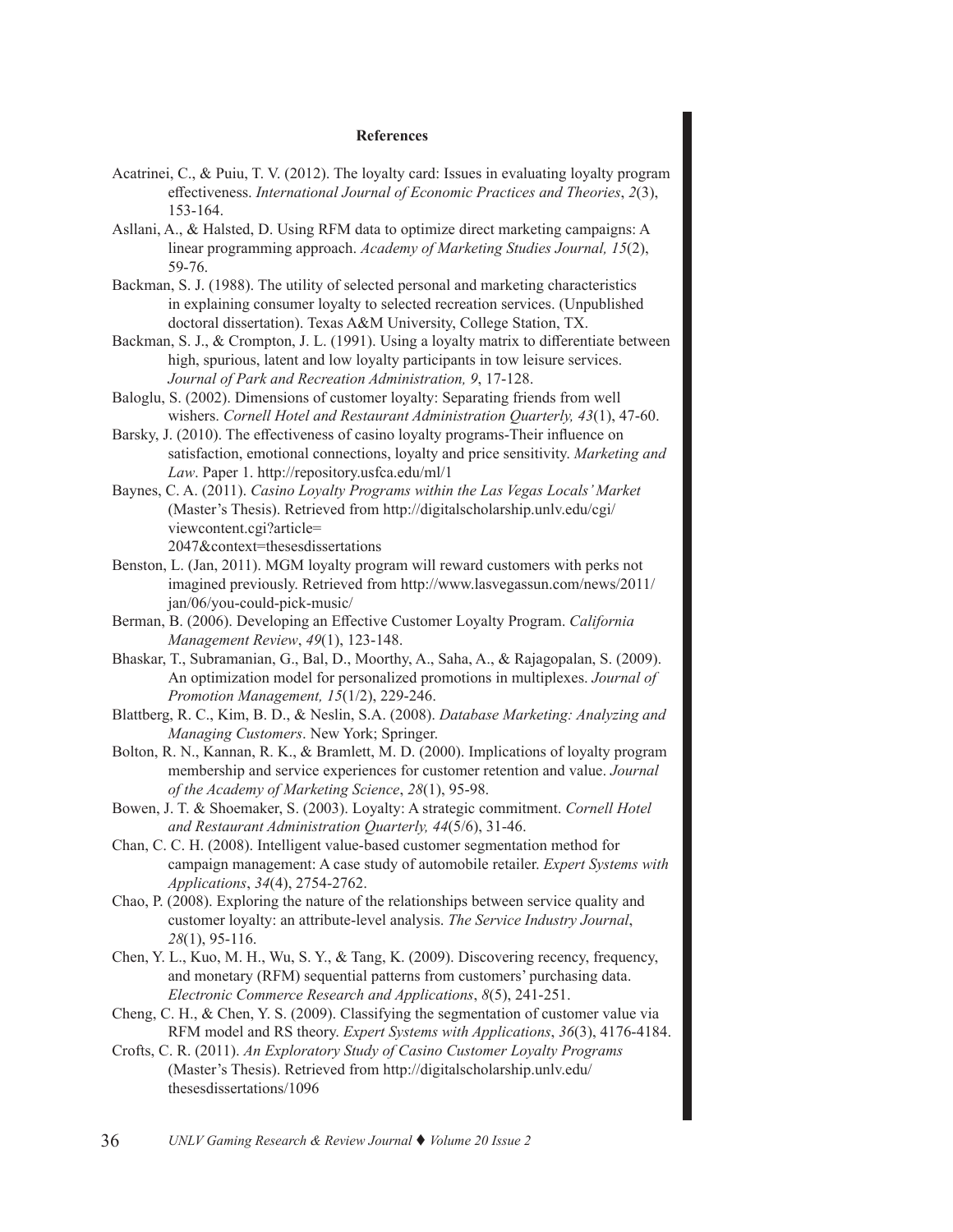### **References**

- Acatrinei, C., & Puiu, T. V. (2012). The loyalty card: Issues in evaluating loyalty program effectiveness. *International Journal of Economic Practices and Theories*, *2*(3), 153-164.
- Asllani, A., & Halsted, D. Using RFM data to optimize direct marketing campaigns: A linear programming approach. *Academy of Marketing Studies Journal, 15*(2), 59-76.
- Backman, S. J. (1988). The utility of selected personal and marketing characteristics in explaining consumer loyalty to selected recreation services. (Unpublished doctoral dissertation). Texas A&M University, College Station, TX.
- Backman, S. J., & Crompton, J. L. (1991). Using a loyalty matrix to differentiate between high, spurious, latent and low loyalty participants in tow leisure services. *Journal of Park and Recreation Administration, 9*, 17-128.
- Baloglu, S. (2002). Dimensions of customer loyalty: Separating friends from well wishers. *Cornell Hotel and Restaurant Administration Quarterly, 43*(1), 47-60.
- Barsky, J. (2010). The effectiveness of casino loyalty programs-Their influence on satisfaction, emotional connections, loyalty and price sensitivity. *Marketing and Law*. Paper 1. http://repository.usfca.edu/ml/1
- Baynes, C. A. (2011). *Casino Loyalty Programs within the Las Vegas Locals' Market* (Master's Thesis). Retrieved from http://digitalscholarship.unlv.edu/cgi/ viewcontent.cgi?article= 2047&context=thesesdissertations
- Benston, L. (Jan, 2011). MGM loyalty program will reward customers with perks not imagined previously. Retrieved from http://www.lasvegassun.com/news/2011/ jan/06/you-could-pick-music/
- Berman, B. (2006). Developing an Effective Customer Loyalty Program. *California Management Review*, *49*(1), 123-148.
- Bhaskar, T., Subramanian, G., Bal, D., Moorthy, A., Saha, A., & Rajagopalan, S. (2009). An optimization model for personalized promotions in multiplexes. *Journal of Promotion Management, 15*(1/2), 229-246.
- Blattberg, R. C., Kim, B. D., & Neslin, S.A. (2008). *Database Marketing: Analyzing and Managing Customers*. New York; Springer.
- Bolton, R. N., Kannan, R. K., & Bramlett, M. D. (2000). Implications of loyalty program membership and service experiences for customer retention and value. *Journal of the Academy of Marketing Science*, *28*(1), 95-98.
- Bowen, J. T. & Shoemaker, S. (2003). Loyalty: A strategic commitment. *Cornell Hotel and Restaurant Administration Quarterly, 44*(5/6), 31-46.
- Chan, C. C. H. (2008). Intelligent value-based customer segmentation method for campaign management: A case study of automobile retailer. *Expert Systems with Applications*, *34*(4), 2754-2762.
- Chao, P. (2008). Exploring the nature of the relationships between service quality and customer loyalty: an attribute-level analysis. *The Service Industry Journal*, *28*(1), 95-116.
- Chen, Y. L., Kuo, M. H., Wu, S. Y., & Tang, K. (2009). Discovering recency, frequency, and monetary (RFM) sequential patterns from customers' purchasing data. *Electronic Commerce Research and Applications*, *8*(5), 241-251.
- Cheng, C. H., & Chen, Y. S. (2009). Classifying the segmentation of customer value via RFM model and RS theory. *Expert Systems with Applications*, *36*(3), 4176-4184.
- Crofts, C. R. (2011). *An Exploratory Study of Casino Customer Loyalty Programs*  (Master's Thesis). Retrieved from http://digitalscholarship.unlv.edu/ thesesdissertations/1096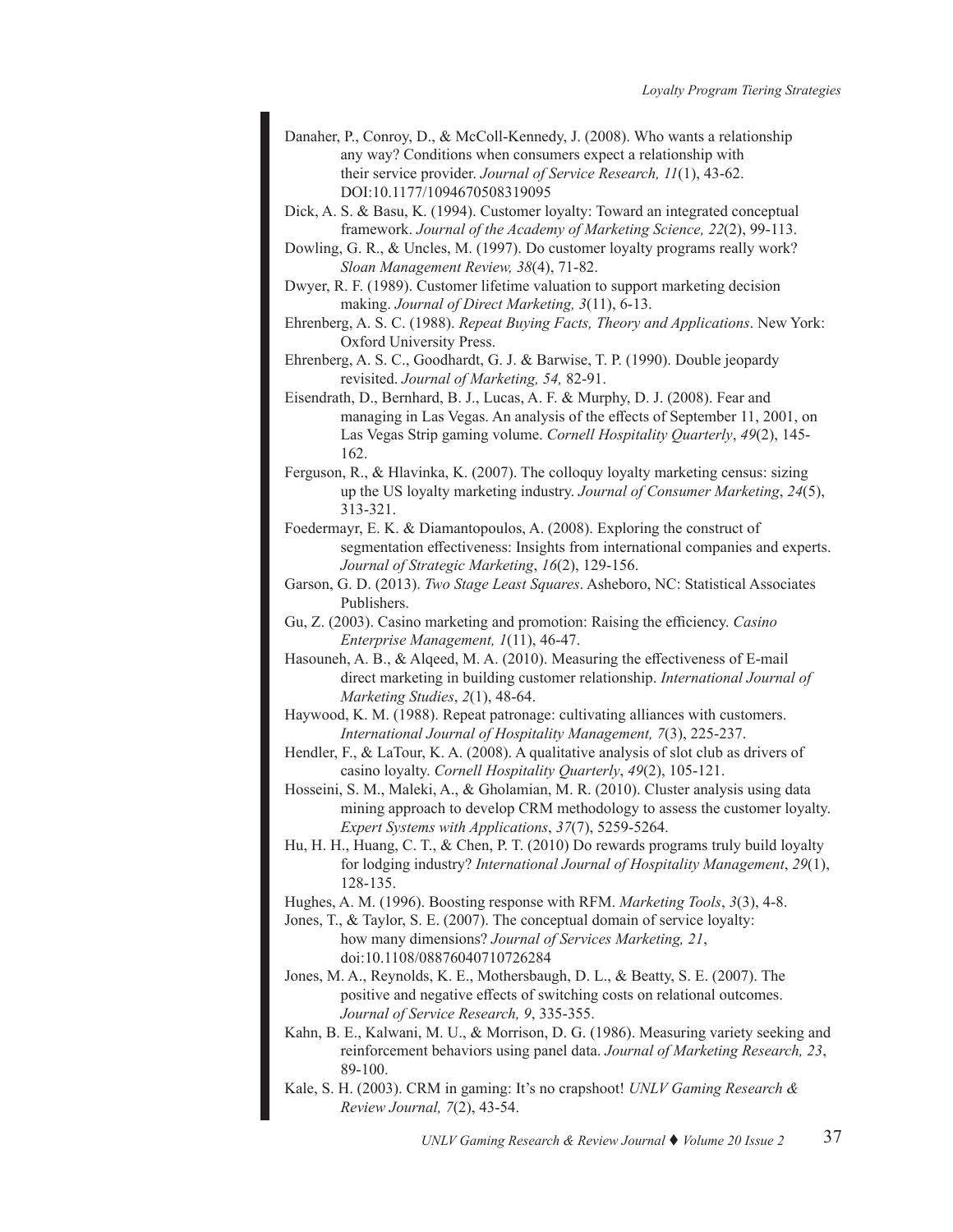- Danaher, P., Conroy, D., & McColl-Kennedy, J. (2008). Who wants a relationship any way? Conditions when consumers expect a relationship with their service provider. *Journal of Service Research, 11*(1), 43-62. DOI:10.1177/1094670508319095
- Dick, A. S. & Basu, K. (1994). Customer loyalty: Toward an integrated conceptual framework. *Journal of the Academy of Marketing Science, 22*(2), 99-113.
- Dowling, G. R., & Uncles, M. (1997). Do customer loyalty programs really work? *Sloan Management Review, 38*(4), 71-82.
- Dwyer, R. F. (1989). Customer lifetime valuation to support marketing decision making. *Journal of Direct Marketing, 3*(11), 6-13.
- Ehrenberg, A. S. C. (1988). *Repeat Buying Facts, Theory and Applications*. New York: Oxford University Press.
- Ehrenberg, A. S. C., Goodhardt, G. J. & Barwise, T. P. (1990). Double jeopardy revisited. *Journal of Marketing, 54,* 82-91.
- Eisendrath, D., Bernhard, B. J., Lucas, A. F. & Murphy, D. J. (2008). Fear and managing in Las Vegas. An analysis of the effects of September 11, 2001, on Las Vegas Strip gaming volume. *Cornell Hospitality Quarterly*, *49*(2), 145- 162.
- Ferguson, R., & Hlavinka, K. (2007). The colloquy loyalty marketing census: sizing up the US loyalty marketing industry. *Journal of Consumer Marketing*, *24*(5), 313-321.
- Foedermayr, E. K. & Diamantopoulos, A. (2008). Exploring the construct of segmentation effectiveness: Insights from international companies and experts. *Journal of Strategic Marketing*, *16*(2), 129-156.
- Garson, G. D. (2013). *Two Stage Least Squares*. Asheboro, NC: Statistical Associates Publishers.
- Gu, Z. (2003). Casino marketing and promotion: Raising the efficiency. *Casino Enterprise Management, 1*(11), 46-47.
- Hasouneh, A. B., & Alqeed, M. A. (2010). Measuring the effectiveness of E-mail direct marketing in building customer relationship. *International Journal of Marketing Studies*, *2*(1), 48-64.
- Haywood, K. M. (1988). Repeat patronage: cultivating alliances with customers. *International Journal of Hospitality Management, 7*(3), 225-237.
- Hendler, F., & LaTour, K. A. (2008). A qualitative analysis of slot club as drivers of casino loyalty. *Cornell Hospitality Quarterly*, *49*(2), 105-121.
- Hosseini, S. M., Maleki, A., & Gholamian, M. R. (2010). Cluster analysis using data mining approach to develop CRM methodology to assess the customer loyalty. *Expert Systems with Applications*, *37*(7), 5259-5264.
- Hu, H. H., Huang, C. T., & Chen, P. T. (2010) Do rewards programs truly build loyalty for lodging industry? *International Journal of Hospitality Management*, *29*(1), 128-135.
- Hughes, A. M. (1996). Boosting response with RFM. *Marketing Tools*, *3*(3), 4-8.
- Jones, T., & Taylor, S. E. (2007). The conceptual domain of service loyalty: how many dimensions? *Journal of Services Marketing, 21*, doi:10.1108/08876040710726284
- Jones, M. A., Reynolds, K. E., Mothersbaugh, D. L., & Beatty, S. E. (2007). The positive and negative effects of switching costs on relational outcomes. *Journal of Service Research, 9*, 335-355.
- Kahn, B. E., Kalwani, M. U., & Morrison, D. G. (1986). Measuring variety seeking and reinforcement behaviors using panel data. *Journal of Marketing Research, 23*, 89-100.
- Kale, S. H. (2003). CRM in gaming: It's no crapshoot! *UNLV Gaming Research & Review Journal, 7*(2), 43-54.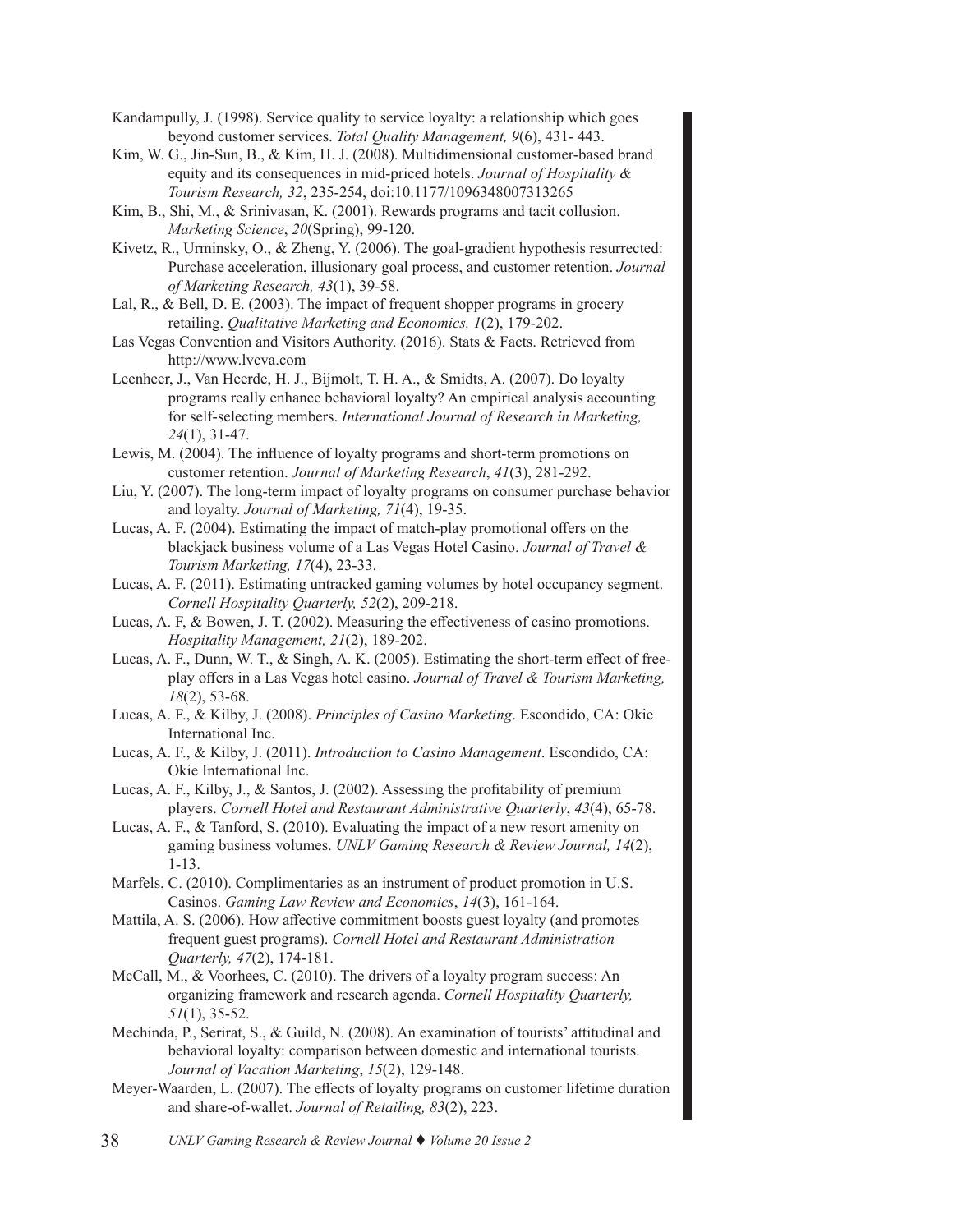- Kandampully, J. (1998). Service quality to service loyalty: a relationship which goes beyond customer services. *Total Quality Management, 9*(6), 431- 443.
- Kim, W. G., Jin-Sun, B., & Kim, H. J. (2008). Multidimensional customer-based brand equity and its consequences in mid-priced hotels. *Journal of Hospitality & Tourism Research, 32*, 235-254, doi:10.1177/1096348007313265
- Kim, B., Shi, M., & Srinivasan, K. (2001). Rewards programs and tacit collusion. *Marketing Science*, *20*(Spring), 99-120.
- Kivetz, R., Urminsky, O., & Zheng, Y. (2006). The goal-gradient hypothesis resurrected: Purchase acceleration, illusionary goal process, and customer retention. *Journal of Marketing Research, 43*(1), 39-58.
- Lal, R., & Bell, D. E. (2003). The impact of frequent shopper programs in grocery retailing. *Qualitative Marketing and Economics, 1*(2), 179-202.
- Las Vegas Convention and Visitors Authority. (2016). Stats & Facts. Retrieved from http://www.lvcva.com
- Leenheer, J., Van Heerde, H. J., Bijmolt, T. H. A., & Smidts, A. (2007). Do loyalty programs really enhance behavioral loyalty? An empirical analysis accounting for self-selecting members. *International Journal of Research in Marketing, 24*(1), 31-47.
- Lewis, M. (2004). The influence of loyalty programs and short-term promotions on customer retention. *Journal of Marketing Research*, *41*(3), 281-292.
- Liu, Y. (2007). The long-term impact of loyalty programs on consumer purchase behavior and loyalty. *Journal of Marketing, 71*(4), 19-35.
- Lucas, A. F. (2004). Estimating the impact of match-play promotional offers on the blackjack business volume of a Las Vegas Hotel Casino. *Journal of Travel & Tourism Marketing, 17*(4), 23-33.
- Lucas, A. F. (2011). Estimating untracked gaming volumes by hotel occupancy segment. *Cornell Hospitality Quarterly, 52*(2), 209-218.
- Lucas, A. F, & Bowen, J. T. (2002). Measuring the effectiveness of casino promotions. *Hospitality Management, 21*(2), 189-202.
- Lucas, A. F., Dunn, W. T., & Singh, A. K. (2005). Estimating the short-term effect of freeplay offers in a Las Vegas hotel casino. *Journal of Travel & Tourism Marketing, 18*(2), 53-68.
- Lucas, A. F., & Kilby, J. (2008). *Principles of Casino Marketing*. Escondido, CA: Okie International Inc.
- Lucas, A. F., & Kilby, J. (2011). *Introduction to Casino Management*. Escondido, CA: Okie International Inc.
- Lucas, A. F., Kilby, J., & Santos, J. (2002). Assessing the profitability of premium players. *Cornell Hotel and Restaurant Administrative Quarterly*, *43*(4), 65-78.
- Lucas, A. F., & Tanford, S. (2010). Evaluating the impact of a new resort amenity on gaming business volumes. *UNLV Gaming Research & Review Journal, 14*(2), 1-13.
- Marfels, C. (2010). Complimentaries as an instrument of product promotion in U.S. Casinos. *Gaming Law Review and Economics*, *14*(3), 161-164.
- Mattila, A. S. (2006). How affective commitment boosts guest loyalty (and promotes frequent guest programs). *Cornell Hotel and Restaurant Administration Quarterly, 47*(2), 174-181.
- McCall, M., & Voorhees, C. (2010). The drivers of a loyalty program success: An organizing framework and research agenda. *Cornell Hospitality Quarterly, 51*(1), 35-52.
- Mechinda, P., Serirat, S., & Guild, N. (2008). An examination of tourists' attitudinal and behavioral loyalty: comparison between domestic and international tourists. *Journal of Vacation Marketing*, *15*(2), 129-148.
- Meyer-Waarden, L. (2007). The effects of loyalty programs on customer lifetime duration and share-of-wallet. *Journal of Retailing, 83*(2), 223.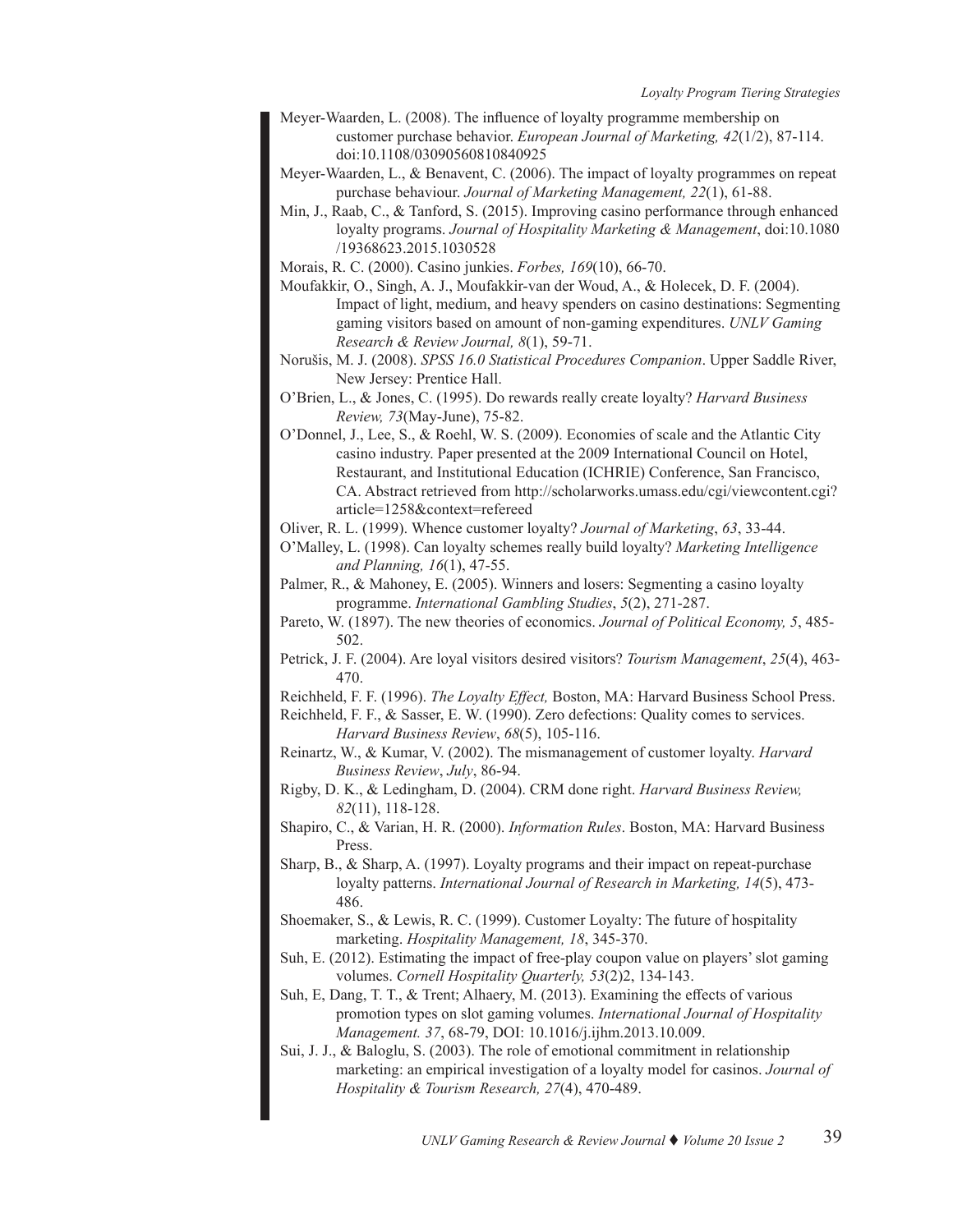- Meyer-Waarden, L. (2008). The influence of loyalty programme membership on customer purchase behavior. *European Journal of Marketing, 42*(1/2), 87-114. doi:10.1108/03090560810840925
- Meyer-Waarden, L., & Benavent, C. (2006). The impact of loyalty programmes on repeat purchase behaviour. *Journal of Marketing Management, 22*(1), 61-88.
- Min, J., Raab, C., & Tanford, S. (2015). Improving casino performance through enhanced loyalty programs. *Journal of Hospitality Marketing & Management*, doi:10.1080 /19368623.2015.1030528
- Morais, R. C. (2000). Casino junkies. *Forbes, 169*(10), 66-70.
- Moufakkir, O., Singh, A. J., Moufakkir-van der Woud, A., & Holecek, D. F. (2004). Impact of light, medium, and heavy spenders on casino destinations: Segmenting gaming visitors based on amount of non-gaming expenditures. *UNLV Gaming Research & Review Journal, 8*(1), 59-71.
- Norušis, M. J. (2008). *SPSS 16.0 Statistical Procedures Companion*. Upper Saddle River, New Jersey: Prentice Hall.
- O'Brien, L., & Jones, C. (1995). Do rewards really create loyalty? *Harvard Business Review, 73*(May-June), 75-82.
- O'Donnel, J., Lee, S., & Roehl, W. S. (2009). Economies of scale and the Atlantic City casino industry. Paper presented at the 2009 International Council on Hotel, Restaurant, and Institutional Education (ICHRIE) Conference, San Francisco, CA. Abstract retrieved from http://scholarworks.umass.edu/cgi/viewcontent.cgi? article=1258&context=refereed
- Oliver, R. L. (1999). Whence customer loyalty? *Journal of Marketing*, *63*, 33-44.
- O'Malley, L. (1998). Can loyalty schemes really build loyalty? *Marketing Intelligence and Planning, 16*(1), 47-55.
- Palmer, R., & Mahoney, E. (2005). Winners and losers: Segmenting a casino loyalty programme. *International Gambling Studies*, *5*(2), 271-287.
- Pareto, W. (1897). The new theories of economics. *Journal of Political Economy, 5*, 485- 502.
- Petrick, J. F. (2004). Are loyal visitors desired visitors? *Tourism Management*, *25*(4), 463- 470.
- Reichheld, F. F. (1996). *The Loyalty Effect,* Boston, MA: Harvard Business School Press.
- Reichheld, F. F., & Sasser, E. W. (1990). Zero defections: Quality comes to services. *Harvard Business Review*, *68*(5), 105-116.
- Reinartz, W., & Kumar, V. (2002). The mismanagement of customer loyalty. *Harvard Business Review*, *July*, 86-94.
- Rigby, D. K., & Ledingham, D. (2004). CRM done right. *Harvard Business Review, 82*(11), 118-128.
- Shapiro, C., & Varian, H. R. (2000). *Information Rules*. Boston, MA: Harvard Business Press.
- Sharp, B., & Sharp, A. (1997). Loyalty programs and their impact on repeat-purchase loyalty patterns. *International Journal of Research in Marketing, 14*(5), 473- 486.
- Shoemaker, S., & Lewis, R. C. (1999). Customer Loyalty: The future of hospitality marketing. *Hospitality Management, 18*, 345-370.
- Suh, E. (2012). Estimating the impact of free-play coupon value on players' slot gaming volumes. *Cornell Hospitality Quarterly, 53*(2)2, 134-143.
- Suh, E, Dang, T. T., & Trent; Alhaery, M. (2013). Examining the effects of various promotion types on slot gaming volumes. *International Journal of Hospitality Management. 37*, 68-79, DOI: 10.1016/j.ijhm.2013.10.009.
- Sui, J. J., & Baloglu, S. (2003). The role of emotional commitment in relationship marketing: an empirical investigation of a loyalty model for casinos. *Journal of Hospitality & Tourism Research, 27*(4), 470-489.